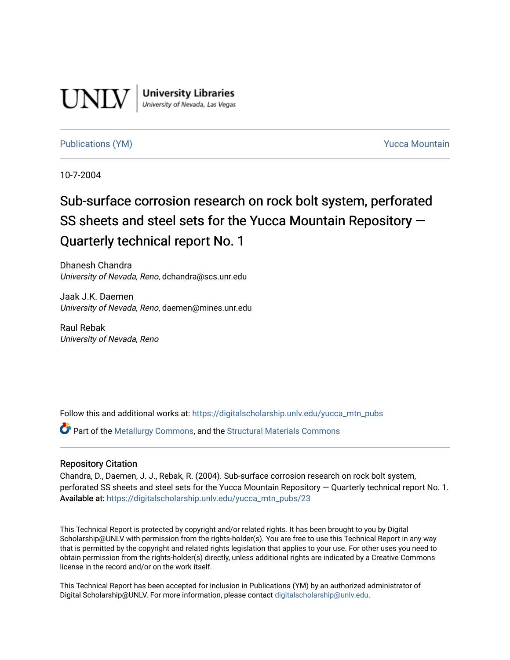

**University Libraries**<br>University of Nevada, Las Vegas

# [Publications \(YM\)](https://digitalscholarship.unlv.edu/yucca_mtn_pubs) **Publications (YM) Publications (YM) Publications** (*YM*) **Publications** (*YM*) **Publications** (*YM*) **Publications** (*YM*) **Publications** (*YM*) **Publications** (*YM*) **Publications** (*YM*) **Publicati**

10-7-2004

# Sub-surface corrosion research on rock bolt system, perforated SS sheets and steel sets for the Yucca Mountain Repository — Quarterly technical report No. 1

Dhanesh Chandra University of Nevada, Reno, dchandra@scs.unr.edu

Jaak J.K. Daemen University of Nevada, Reno, daemen@mines.unr.edu

Raul Rebak University of Nevada, Reno

Follow this and additional works at: [https://digitalscholarship.unlv.edu/yucca\\_mtn\\_pubs](https://digitalscholarship.unlv.edu/yucca_mtn_pubs?utm_source=digitalscholarship.unlv.edu%2Fyucca_mtn_pubs%2F23&utm_medium=PDF&utm_campaign=PDFCoverPages)

Part of the [Metallurgy Commons,](http://network.bepress.com/hgg/discipline/288?utm_source=digitalscholarship.unlv.edu%2Fyucca_mtn_pubs%2F23&utm_medium=PDF&utm_campaign=PDFCoverPages) and the [Structural Materials Commons](http://network.bepress.com/hgg/discipline/291?utm_source=digitalscholarship.unlv.edu%2Fyucca_mtn_pubs%2F23&utm_medium=PDF&utm_campaign=PDFCoverPages)

# Repository Citation

Chandra, D., Daemen, J. J., Rebak, R. (2004). Sub-surface corrosion research on rock bolt system, perforated SS sheets and steel sets for the Yucca Mountain Repository — Quarterly technical report No. 1. Available at: [https://digitalscholarship.unlv.edu/yucca\\_mtn\\_pubs/23](https://digitalscholarship.unlv.edu/yucca_mtn_pubs/23) 

This Technical Report is protected by copyright and/or related rights. It has been brought to you by Digital Scholarship@UNLV with permission from the rights-holder(s). You are free to use this Technical Report in any way that is permitted by the copyright and related rights legislation that applies to your use. For other uses you need to obtain permission from the rights-holder(s) directly, unless additional rights are indicated by a Creative Commons license in the record and/or on the work itself.

This Technical Report has been accepted for inclusion in Publications (YM) by an authorized administrator of Digital Scholarship@UNLV. For more information, please contact [digitalscholarship@unlv.edu](mailto:digitalscholarship@unlv.edu).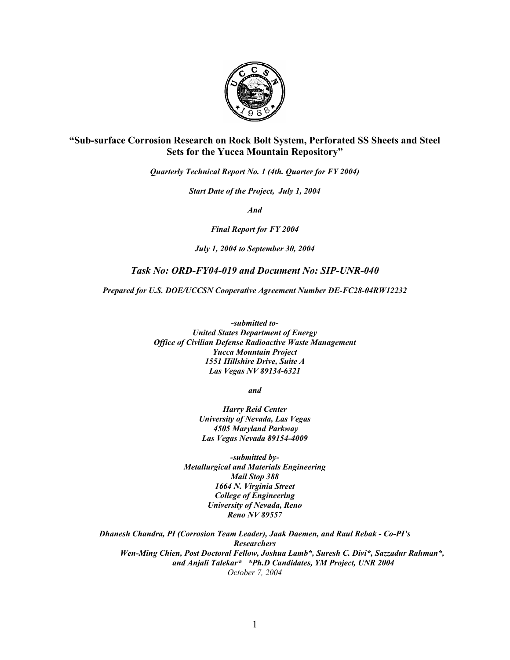

# **"Sub-surface Corrosion Research on Rock Bolt System, Perforated SS Sheets and Steel Sets for the Yucca Mountain Repository"**

*Quarterly Technical Report No. 1 (4th. Quarter for FY 2004)* 

*Start Date of the Project, July 1, 2004* 

*And* 

*Final Report for FY 2004* 

*July 1, 2004 to September 30, 2004* 

# *Task No: ORD-FY04-019 and Document No: SIP-UNR-040*

*Prepared for U.S. DOE/UCCSN Cooperative Agreement Number DE-FC28-04RW12232* 

*-submitted to-United States Department of Energy Office of Civilian Defense Radioactive Waste Management Yucca Mountain Project 1551 Hillshire Drive, Suite A Las Vegas NV 89134-6321* 

*and* 

*Harry Reid Center University of Nevada, Las Vegas 4505 Maryland Parkway Las Vegas Nevada 89154-4009* 

*-submitted by-Metallurgical and Materials Engineering Mail Stop 388 1664 N. Virginia Street College of Engineering University of Nevada, Reno Reno NV 89557* 

*Dhanesh Chandra, PI (Corrosion Team Leader), Jaak Daemen, and Raul Rebak - Co-PI's Researchers Wen-Ming Chien, Post Doctoral Fellow, Joshua Lamb\*, Suresh C. Divi\*, Sazzadur Rahman\*, and Anjali Talekar\* \*Ph.D Candidates, YM Project, UNR 2004 October 7, 2004*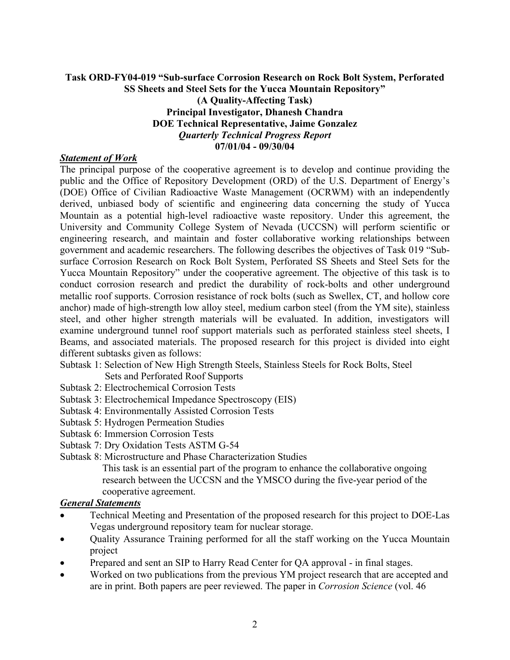# **Task ORD-FY04-019 "Sub-surface Corrosion Research on Rock Bolt System, Perforated SS Sheets and Steel Sets for the Yucca Mountain Repository" (A Quality-Affecting Task) Principal Investigator, Dhanesh Chandra DOE Technical Representative, Jaime Gonzalez**  *Quarterly Technical Progress Report*  **07/01/04 - 09/30/04**

# *Statement of Work*

The principal purpose of the cooperative agreement is to develop and continue providing the public and the Office of Repository Development (ORD) of the U.S. Department of Energy's (DOE) Office of Civilian Radioactive Waste Management (OCRWM) with an independently derived, unbiased body of scientific and engineering data concerning the study of Yucca Mountain as a potential high-level radioactive waste repository. Under this agreement, the University and Community College System of Nevada (UCCSN) will perform scientific or engineering research, and maintain and foster collaborative working relationships between government and academic researchers. The following describes the objectives of Task 019 "Subsurface Corrosion Research on Rock Bolt System, Perforated SS Sheets and Steel Sets for the Yucca Mountain Repository" under the cooperative agreement. The objective of this task is to conduct corrosion research and predict the durability of rock-bolts and other underground metallic roof supports. Corrosion resistance of rock bolts (such as Swellex, CT, and hollow core anchor) made of high-strength low alloy steel, medium carbon steel (from the YM site), stainless steel, and other higher strength materials will be evaluated. In addition, investigators will examine underground tunnel roof support materials such as perforated stainless steel sheets, I Beams, and associated materials. The proposed research for this project is divided into eight different subtasks given as follows:

- Subtask 1: Selection of New High Strength Steels, Stainless Steels for Rock Bolts, Steel Sets and Perforated Roof Supports
- Subtask 2: Electrochemical Corrosion Tests
- Subtask 3: Electrochemical Impedance Spectroscopy (EIS)
- Subtask 4: Environmentally Assisted Corrosion Tests
- Subtask 5: Hydrogen Permeation Studies
- Subtask 6: Immersion Corrosion Tests
- Subtask 7: Dry Oxidation Tests ASTM G-54
- Subtask 8: Microstructure and Phase Characterization Studies

This task is an essential part of the program to enhance the collaborative ongoing research between the UCCSN and the YMSCO during the five-year period of the cooperative agreement.

# *General Statements*

- Technical Meeting and Presentation of the proposed research for this project to DOE-Las Vegas underground repository team for nuclear storage.
- Quality Assurance Training performed for all the staff working on the Yucca Mountain project
- Prepared and sent an SIP to Harry Read Center for QA approval in final stages.
- Worked on two publications from the previous YM project research that are accepted and are in print. Both papers are peer reviewed. The paper in *Corrosion Science* (vol. 46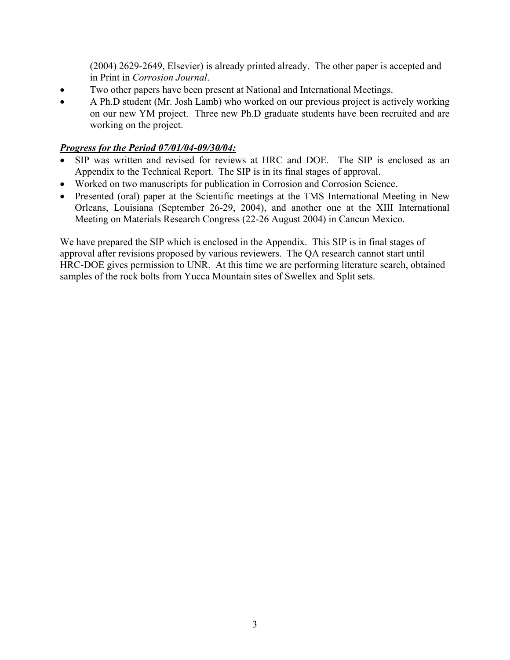(2004) 2629-2649, Elsevier) is already printed already. The other paper is accepted and in Print in *Corrosion Journal*.

- Two other papers have been present at National and International Meetings.
- A Ph.D student (Mr. Josh Lamb) who worked on our previous project is actively working on our new YM project. Three new Ph.D graduate students have been recruited and are working on the project.

# *Progress for the Period 07/01/04-09/30/04:*

- SIP was written and revised for reviews at HRC and DOE. The SIP is enclosed as an Appendix to the Technical Report. The SIP is in its final stages of approval.
- Worked on two manuscripts for publication in Corrosion and Corrosion Science.
- Presented (oral) paper at the Scientific meetings at the TMS International Meeting in New Orleans, Louisiana (September 26-29, 2004), and another one at the XIII International Meeting on Materials Research Congress (22-26 August 2004) in Cancun Mexico.

We have prepared the SIP which is enclosed in the Appendix. This SIP is in final stages of approval after revisions proposed by various reviewers. The QA research cannot start until HRC-DOE gives permission to UNR. At this time we are performing literature search, obtained samples of the rock bolts from Yucca Mountain sites of Swellex and Split sets.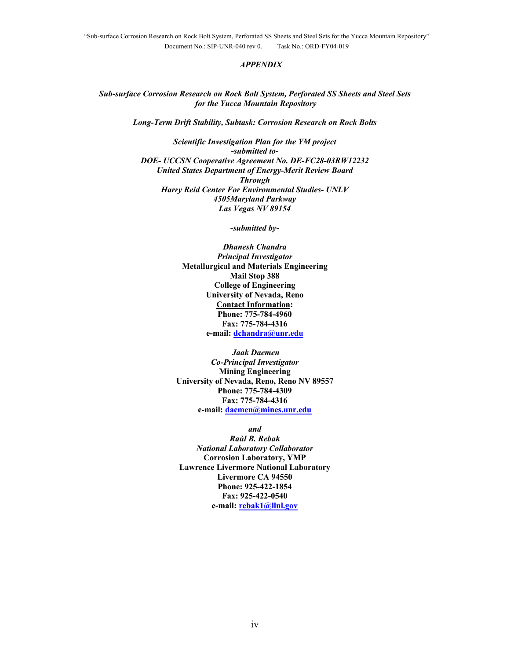#### *APPENDIX*

*Sub-surface Corrosion Research on Rock Bolt System, Perforated SS Sheets and Steel Sets for the Yucca Mountain Repository* 

*Long-Term Drift Stability, Subtask: Corrosion Research on Rock Bolts* 

*Scientific Investigation Plan for the YM project -submitted to-DOE- UCCSN Cooperative Agreement No. DE-FC28-03RW12232 United States Department of Energy-Merit Review Board Through Harry Reid Center For Environmental Studies- UNLV 4505Maryland Parkway Las Vegas NV 89154* 

*-submitted by-*

*Dhanesh Chandra Principal Investigator*  **Metallurgical and Materials Engineering Mail Stop 388 College of Engineering University of Nevada, Reno Contact Information: Phone: 775-784-4960 Fax: 775-784-4316 e-mail: dchandra@unr.edu**

 *Jaak Daemen Co-Principal Investigator*  **Mining Engineering University of Nevada, Reno, Reno NV 89557 Phone: 775-784-4309 Fax: 775-784-4316 e-mail: daemen@mines.unr.edu**

*and* 

*Raùl B. Rebak National Laboratory Collaborator*  **Corrosion Laboratory, YMP Lawrence Livermore National Laboratory Livermore CA 94550 Phone: 925-422-1854 Fax: 925-422-0540 e-mail: rebak1@llnl.gov**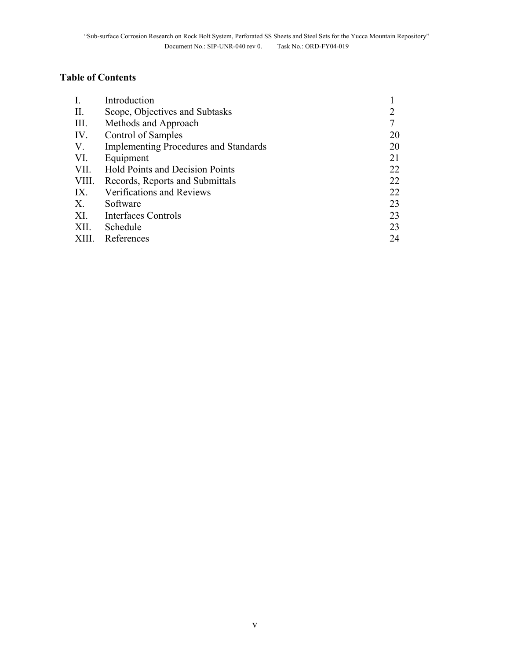# **Table of Contents**

| $\mathbf{I}$ . | Introduction                                 |    |
|----------------|----------------------------------------------|----|
| II.            | Scope, Objectives and Subtasks               |    |
| III.           | Methods and Approach                         |    |
| IV.            | Control of Samples                           | 20 |
| V.             | <b>Implementing Procedures and Standards</b> | 20 |
| VI.            | Equipment                                    | 21 |
| VII.           | <b>Hold Points and Decision Points</b>       | 22 |
| VIII.          | Records, Reports and Submittals              | 22 |
| IX.            | Verifications and Reviews                    | 22 |
| Х.             | Software                                     | 23 |
| XI.            | Interfaces Controls                          | 23 |
| XII.           | Schedule                                     | 23 |
| XIII.          | References                                   | 24 |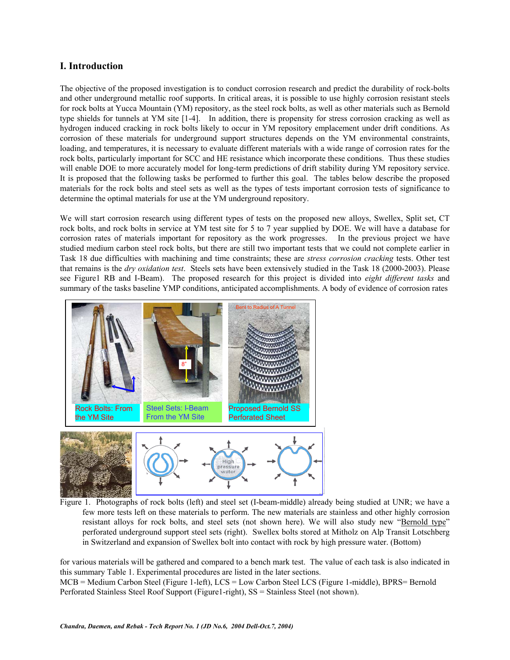# **I. Introduction**

The objective of the proposed investigation is to conduct corrosion research and predict the durability of rock-bolts and other underground metallic roof supports. In critical areas, it is possible to use highly corrosion resistant steels for rock bolts at Yucca Mountain (YM) repository, as the steel rock bolts, as well as other materials such as Bernold type shields for tunnels at YM site [1-4]. In addition, there is propensity for stress corrosion cracking as well as hydrogen induced cracking in rock bolts likely to occur in YM repository emplacement under drift conditions. As corrosion of these materials for underground support structures depends on the YM environmental constraints, loading, and temperatures, it is necessary to evaluate different materials with a wide range of corrosion rates for the rock bolts, particularly important for SCC and HE resistance which incorporate these conditions. Thus these studies will enable DOE to more accurately model for long-term predictions of drift stability during YM repository service. It is proposed that the following tasks be performed to further this goal. The tables below describe the proposed materials for the rock bolts and steel sets as well as the types of tests important corrosion tests of significance to determine the optimal materials for use at the YM underground repository.

We will start corrosion research using different types of tests on the proposed new alloys, Swellex, Split set, CT rock bolts, and rock bolts in service at YM test site for 5 to 7 year supplied by DOE. We will have a database for corrosion rates of materials important for repository as the work progresses. In the previous project we have studied medium carbon steel rock bolts, but there are still two important tests that we could not complete earlier in Task 18 due difficulties with machining and time constraints; these are *stress corrosion cracking* tests. Other test that remains is the *dry oxidation test*. Steels sets have been extensively studied in the Task 18 (2000-2003). Please see Figure1 RB and I-Beam). The proposed research for this project is divided into *eight different tasks* and summary of the tasks baseline YMP conditions, anticipated accomplishments. A body of evidence of corrosion rates



Figure 1. Photographs of rock bolts (left) and steel set (I-beam-middle) already being studied at UNR; we have a few more tests left on these materials to perform. The new materials are stainless and other highly corrosion resistant alloys for rock bolts, and steel sets (not shown here). We will also study new "Bernold type" perforated underground support steel sets (right). Swellex bolts stored at Mitholz on Alp Transit Lotschberg in Switzerland and expansion of Swellex bolt into contact with rock by high pressure water. (Bottom)

for various materials will be gathered and compared to a bench mark test. The value of each task is also indicated in this summary Table 1. Experimental procedures are listed in the later sections.

MCB = Medium Carbon Steel (Figure 1-left), LCS = Low Carbon Steel LCS (Figure 1-middle), BPRS= Bernold Perforated Stainless Steel Roof Support (Figure1-right), SS = Stainless Steel (not shown).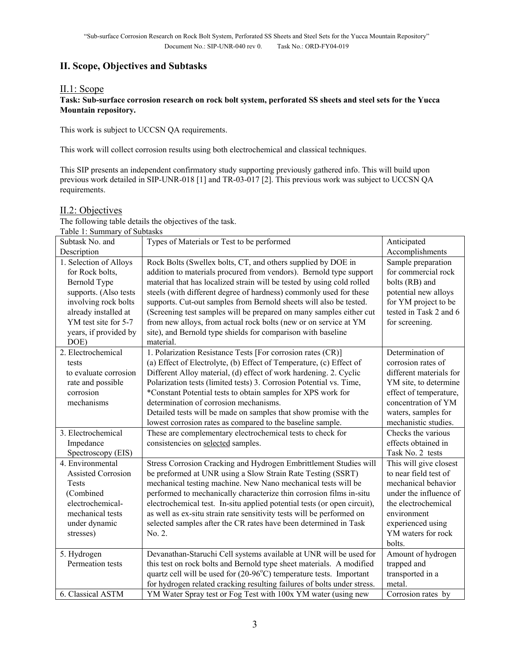# **II. Scope, Objectives and Subtasks**

# II.1: Scope

### **Task: Sub-surface corrosion research on rock bolt system, perforated SS sheets and steel sets for the Yucca Mountain repository.**

This work is subject to UCCSN QA requirements.

This work will collect corrosion results using both electrochemical and classical techniques.

This SIP presents an independent confirmatory study supporting previously gathered info. This will build upon previous work detailed in SIP-UNR-018 [1] and TR-03-017 [2]. This previous work was subject to UCCSN QA requirements.

### II.2: Objectives

The following table details the objectives of the task. Table 1: Summary of Subtasks

| Table 1. Suillinaly of Subtasks |                                                                              |                         |
|---------------------------------|------------------------------------------------------------------------------|-------------------------|
| Subtask No. and                 | Types of Materials or Test to be performed                                   | Anticipated             |
| Description                     |                                                                              | Accomplishments         |
| 1. Selection of Alloys          | Rock Bolts (Swellex bolts, CT, and others supplied by DOE in                 | Sample preparation      |
| for Rock bolts,                 | addition to materials procured from vendors). Bernold type support           | for commercial rock     |
| Bernold Type                    | material that has localized strain will be tested by using cold rolled       | bolts (RB) and          |
| supports. (Also tests           | steels (with different degree of hardness) commonly used for these           | potential new alloys    |
| involving rock bolts            | supports. Cut-out samples from Bernold sheets will also be tested.           | for YM project to be    |
| already installed at            | (Screening test samples will be prepared on many samples either cut          | tested in Task 2 and 6  |
| YM test site for 5-7            | from new alloys, from actual rock bolts (new or on service at YM             | for screening.          |
| years, if provided by           | site), and Bernold type shields for comparison with baseline                 |                         |
| DOE)                            | material.                                                                    |                         |
| 2. Electrochemical              | 1. Polarization Resistance Tests [For corrosion rates (CR)]                  | Determination of        |
| tests                           | (a) Effect of Electrolyte, (b) Effect of Temperature, (c) Effect of          | corrosion rates of      |
| to evaluate corrosion           | Different Alloy material, (d) effect of work hardening. 2. Cyclic            | different materials for |
| rate and possible               | Polarization tests (limited tests) 3. Corrosion Potential vs. Time,          | YM site, to determine   |
| corrosion                       | *Constant Potential tests to obtain samples for XPS work for                 | effect of temperature,  |
| mechanisms                      | determination of corrosion mechanisms.                                       | concentration of YM     |
|                                 | Detailed tests will be made on samples that show promise with the            | waters, samples for     |
|                                 | lowest corrosion rates as compared to the baseline sample.                   | mechanistic studies.    |
| 3. Electrochemical              | These are complementary electrochemical tests to check for                   | Checks the various      |
| Impedance                       | consistencies on selected samples.                                           | effects obtained in     |
| Spectroscopy (EIS)              |                                                                              | Task No. 2 tests        |
| 4. Environmental                | Stress Corrosion Cracking and Hydrogen Embrittlement Studies will            | This will give closest  |
| <b>Assisted Corrosion</b>       | be preformed at UNR using a Slow Strain Rate Testing (SSRT)                  | to near field test of   |
| Tests                           | mechanical testing machine. New Nano mechanical tests will be                | mechanical behavior     |
| (Combined                       | performed to mechanically characterize thin corrosion films in-situ          | under the influence of  |
| electrochemical-                | electrochemical test. In-situ applied potential tests (or open circuit),     | the electrochemical     |
| mechanical tests                | as well as ex-situ strain rate sensitivity tests will be performed on        | environment             |
| under dynamic                   | selected samples after the CR rates have been determined in Task             | experienced using       |
| stresses)                       | No. 2.                                                                       | YM waters for rock      |
|                                 |                                                                              | bolts.                  |
| 5. Hydrogen                     | Devanathan-Staruchi Cell systems available at UNR will be used for           | Amount of hydrogen      |
| Permeation tests                | this test on rock bolts and Bernold type sheet materials. A modified         | trapped and             |
|                                 | quartz cell will be used for $(20-96^{\circ}C)$ temperature tests. Important | transported in a        |
|                                 | for hydrogen related cracking resulting failures of bolts under stress.      | metal.                  |
| 6. Classical ASTM               | YM Water Spray test or Fog Test with 100x YM water (using new                | Corrosion rates by      |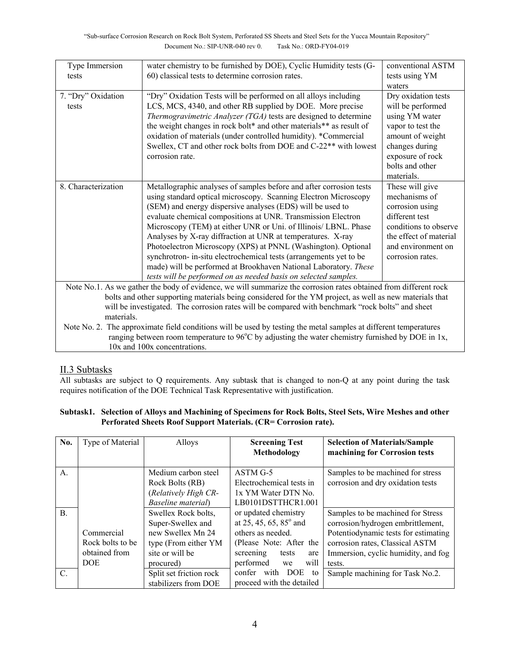| Type Immersion                                                                                                   | water chemistry to be furnished by DOE), Cyclic Humidity tests (G-                                | conventional ASTM      |  |  |
|------------------------------------------------------------------------------------------------------------------|---------------------------------------------------------------------------------------------------|------------------------|--|--|
| tests                                                                                                            | 60) classical tests to determine corrosion rates.                                                 | tests using YM         |  |  |
|                                                                                                                  |                                                                                                   | waters                 |  |  |
| 7. "Dry" Oxidation                                                                                               | "Dry" Oxidation Tests will be performed on all alloys including                                   | Dry oxidation tests    |  |  |
| tests                                                                                                            | LCS, MCS, 4340, and other RB supplied by DOE. More precise                                        | will be performed      |  |  |
|                                                                                                                  | Thermogravimetric Analyzer (TGA) tests are designed to determine                                  | using YM water         |  |  |
|                                                                                                                  | the weight changes in rock bolt* and other materials** as result of                               | vapor to test the      |  |  |
|                                                                                                                  | oxidation of materials (under controlled humidity). *Commercial                                   | amount of weight       |  |  |
|                                                                                                                  | Swellex, CT and other rock bolts from DOE and C-22 <sup>**</sup> with lowest                      | changes during         |  |  |
|                                                                                                                  | corrosion rate.                                                                                   | exposure of rock       |  |  |
|                                                                                                                  |                                                                                                   | bolts and other        |  |  |
|                                                                                                                  |                                                                                                   | materials.             |  |  |
| 8. Characterization                                                                                              | Metallographic analyses of samples before and after corrosion tests                               | These will give        |  |  |
|                                                                                                                  | using standard optical microscopy. Scanning Electron Microscopy                                   | mechanisms of          |  |  |
|                                                                                                                  | (SEM) and energy dispersive analyses (EDS) will be used to                                        | corrosion using        |  |  |
|                                                                                                                  | evaluate chemical compositions at UNR. Transmission Electron                                      | different test         |  |  |
|                                                                                                                  | Microscopy (TEM) at either UNR or Uni. of Illinois/ LBNL. Phase                                   | conditions to observe  |  |  |
|                                                                                                                  | Analyses by X-ray diffraction at UNR at temperatures. X-ray                                       | the effect of material |  |  |
|                                                                                                                  | Photoelectron Microscopy (XPS) at PNNL (Washington). Optional                                     | and environment on     |  |  |
|                                                                                                                  | synchrotron- in-situ electrochemical tests (arrangements yet to be                                | corrosion rates.       |  |  |
|                                                                                                                  | made) will be performed at Brookhaven National Laboratory. These                                  |                        |  |  |
|                                                                                                                  | tests will be performed on as needed basis on selected samples.                                   |                        |  |  |
| Note No.1. As we gather the body of evidence, we will summarize the corrosion rates obtained from different rock |                                                                                                   |                        |  |  |
| bolts and other supporting materials being considered for the YM project, as well as new materials that          |                                                                                                   |                        |  |  |
| will be investigated. The corrosion rates will be compared with benchmark "rock bolts" and sheet                 |                                                                                                   |                        |  |  |
| materials.                                                                                                       |                                                                                                   |                        |  |  |
| Note No. 2. The approximate field conditions will be used by testing the metal samples at different temperatures |                                                                                                   |                        |  |  |
|                                                                                                                  | ranging between room temperature to 96°C by adjusting the water chemistry furnished by DOE in 1x, |                        |  |  |
| 10x and 100x concentrations.                                                                                     |                                                                                                   |                        |  |  |

# II.3 Subtasks

All subtasks are subject to Q requirements. Any subtask that is changed to non-Q at any point during the task requires notification of the DOE Technical Task Representative with justification.

# **Subtask1. Selection of Alloys and Machining of Specimens for Rock Bolts, Steel Sets, Wire Meshes and other Perforated Sheets Roof Support Materials. (CR= Corrosion rate).**

| No.             | Type of Material | Alloys                                                         | <b>Screening Test</b><br>Methodology                          | <b>Selection of Materials/Sample</b><br>machining for Corrosion tests  |
|-----------------|------------------|----------------------------------------------------------------|---------------------------------------------------------------|------------------------------------------------------------------------|
| A.              |                  | Medium carbon steel<br>Rock Bolts (RB)<br>(Relatively High CR- | $ASTM G-5$<br>Electrochemical tests in<br>1x YM Water DTN No. | Samples to be machined for stress<br>corrosion and dry oxidation tests |
|                 |                  | Baseline material)                                             | LB0101DSTTHCR1.001                                            |                                                                        |
| $\mathbf{B}$ .  |                  | Swellex Rock bolts,<br>Super-Swellex and                       | or updated chemistry<br>at 25, 45, 65, 85 $^{\circ}$ and      | Samples to be machined for Stress<br>corrosion/hydrogen embrittlement, |
|                 | Commercial       | new Swellex Mn 24                                              | others as needed.                                             | Potentiodynamic tests for estimating                                   |
|                 | Rock bolts to be | type (From either YM                                           | (Please Note: After the                                       | corrosion rates, Classical ASTM                                        |
|                 | obtained from    | site or will be                                                | screening<br>tests<br>are                                     | Immersion, cyclic humidity, and fog                                    |
|                 | <b>DOE</b>       | procured)                                                      | performed<br>will<br>we                                       | tests.                                                                 |
| $\mathcal{C}$ . |                  | Split set friction rock                                        | confer with DOE<br>to                                         | Sample machining for Task No.2.                                        |
|                 |                  | stabilizers from DOE                                           | proceed with the detailed                                     |                                                                        |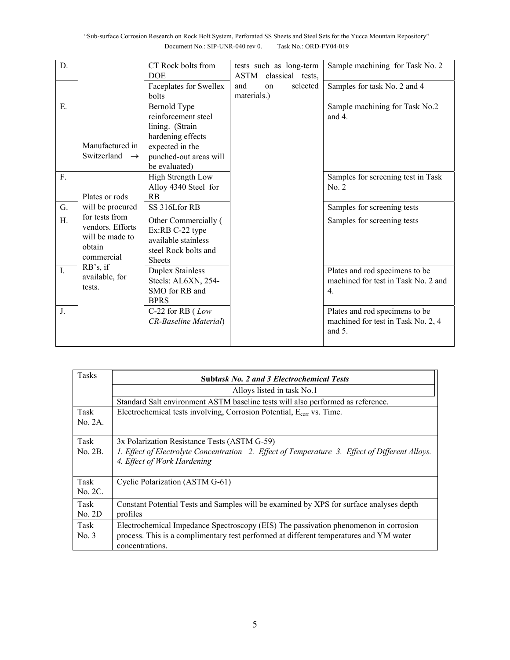| D.                                                                                  | CT Rock bolts from<br><b>DOE</b>                                                                                                          | tests such as long-term<br>ASTM<br>classical tests, | Sample machining for Task No. 2                                                           |
|-------------------------------------------------------------------------------------|-------------------------------------------------------------------------------------------------------------------------------------------|-----------------------------------------------------|-------------------------------------------------------------------------------------------|
|                                                                                     | Faceplates for Swellex<br>bolts                                                                                                           | and<br>selected<br>on<br>materials.)                | Samples for task No. 2 and 4                                                              |
| E.<br>Manufactured in<br>Switzerland $\rightarrow$                                  | Bernold Type<br>reinforcement steel<br>lining. (Strain<br>hardening effects<br>expected in the<br>punched-out areas will<br>be evaluated) |                                                     | Sample machining for Task No.2<br>and 4.                                                  |
| F.<br>Plates or rods                                                                | High Strength Low<br>Alloy 4340 Steel for<br>RB                                                                                           |                                                     | Samples for screening test in Task<br>No. 2                                               |
| G.<br>will be procured                                                              | SS 316Lfor RB                                                                                                                             |                                                     | Samples for screening tests                                                               |
| for tests from<br>H.<br>vendors. Efforts<br>will be made to<br>obtain<br>commercial | Other Commercially (<br>Ex:RB C-22 type<br>available stainless<br>steel Rock bolts and<br><b>Sheets</b>                                   |                                                     | Samples for screening tests                                                               |
| $\mathbf{I}$ .<br>available, for<br>tests.                                          | <b>Duplex Stainless</b><br>Steels: AL6XN, 254-<br>SMO for RB and<br><b>BPRS</b>                                                           |                                                     | Plates and rod specimens to be<br>machined for test in Task No. 2 and<br>$\overline{4}$ . |
| J.                                                                                  | C-22 for RB $(Low$<br>CR-Baseline Material)                                                                                               |                                                     | Plates and rod specimens to be<br>machined for test in Task No. 2, 4<br>and $5$ .         |
| RB's, if                                                                            |                                                                                                                                           |                                                     |                                                                                           |

| <b>Tasks</b> | <b>Subtask No. 2 and 3 Electrochemical Tests</b>                                               |
|--------------|------------------------------------------------------------------------------------------------|
|              | Alloys listed in task No.1                                                                     |
|              | Standard Salt environment ASTM baseline tests will also performed as reference.                |
| Task         | Electrochemical tests involving, Corrosion Potential, E <sub>corr</sub> vs. Time.              |
| No. 2A.      |                                                                                                |
| Task         | 3x Polarization Resistance Tests (ASTM G-59)                                                   |
| No. 2B.      | 1. Effect of Electrolyte Concentration 2. Effect of Temperature 3. Effect of Different Alloys. |
|              | 4. Effect of Work Hardening                                                                    |
| Task         | Cyclic Polarization (ASTM G-61)                                                                |
| No. 2C.      |                                                                                                |
| Task         | Constant Potential Tests and Samples will be examined by XPS for surface analyses depth        |
| No. 2D       | profiles                                                                                       |
| Task         | Electrochemical Impedance Spectroscopy (EIS) The passivation phenomenon in corrosion           |
| No. 3        | process. This is a complimentary test performed at different temperatures and YM water         |
|              | concentrations.                                                                                |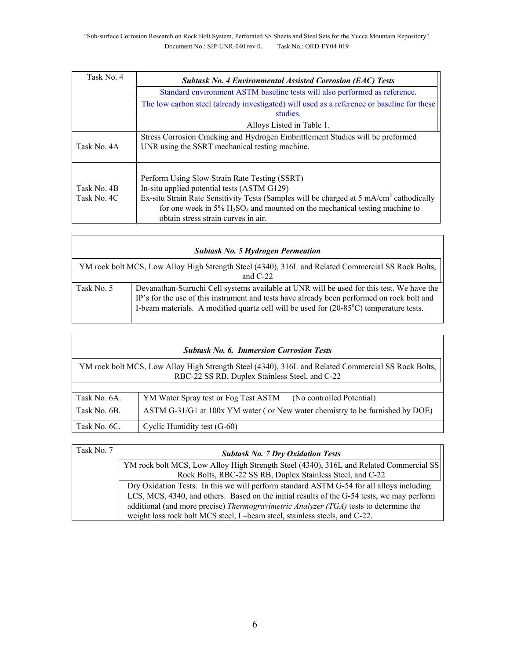| Task No. 4                 | <b>Subtask No. 4 Environmental Assisted Corrosion (EAC) Tests</b>                                                                                                                                                                                                                                                           |
|----------------------------|-----------------------------------------------------------------------------------------------------------------------------------------------------------------------------------------------------------------------------------------------------------------------------------------------------------------------------|
|                            | Standard environment ASTM baseline tests will also performed as reference.                                                                                                                                                                                                                                                  |
|                            | The low carbon steel (already investigated) will used as a reference or baseline for these<br>studies.                                                                                                                                                                                                                      |
|                            | Alloys Listed in Table 1.                                                                                                                                                                                                                                                                                                   |
| Task No. 4A                | Stress Corrosion Cracking and Hydrogen Embrittlement Studies will be preformed<br>UNR using the SSRT mechanical testing machine.                                                                                                                                                                                            |
| Task No. 4B<br>Task No. 4C | Perform Using Slow Strain Rate Testing (SSRT)<br>In-situ applied potential tests (ASTM G129)<br>Ex-situ Strain Rate Sensitivity Tests (Samples will be charged at 5 mA/cm <sup>2</sup> cathodically<br>for one week in 5% $H_2SO_4$ and mounted on the mechanical testing machine to<br>obtain stress strain curves in air. |

| <b>Subtask No. 5 Hydrogen Permeation</b>                                                                         |                                                                                                                                                                                                                                                                                                |  |
|------------------------------------------------------------------------------------------------------------------|------------------------------------------------------------------------------------------------------------------------------------------------------------------------------------------------------------------------------------------------------------------------------------------------|--|
| YM rock bolt MCS, Low Alloy High Strength Steel (4340), 316L and Related Commercial SS Rock Bolts,<br>and $C-22$ |                                                                                                                                                                                                                                                                                                |  |
| Task No. 5                                                                                                       | Devanathan-Staruchi Cell systems available at UNR will be used for this test. We have the<br>IP's for the use of this instrument and tests have already been performed on rock bolt and<br>I-beam materials. A modified quartz cell will be used for (20-85 <sup>o</sup> C) temperature tests. |  |

| <b>Subtask No. 6. Immersion Corrosion Tests</b>                                                                                                      |                                                                               |  |
|------------------------------------------------------------------------------------------------------------------------------------------------------|-------------------------------------------------------------------------------|--|
| YM rock bolt MCS, Low Alloy High Strength Steel (4340), 316L and Related Commercial SS Rock Bolts,<br>RBC-22 SS RB, Duplex Stainless Steel, and C-22 |                                                                               |  |
|                                                                                                                                                      |                                                                               |  |
| Task No. 6A.                                                                                                                                         | (No controlled Potential)<br>YM Water Spray test or Fog Test ASTM             |  |
| Task No. 6B.                                                                                                                                         | ASTM G-31/G1 at 100x YM water (or New water chemistry to be furnished by DOE) |  |
| Task No. 6C.                                                                                                                                         | Cyclic Humidity test (G-60)                                                   |  |

| Task No. 7 | <b>Subtask No. 7 Dry Oxidation Tests</b>                                                   |
|------------|--------------------------------------------------------------------------------------------|
|            | YM rock bolt MCS, Low Alloy High Strength Steel (4340), 316L and Related Commercial SS     |
|            | Rock Bolts, RBC-22 SS RB, Duplex Stainless Steel, and C-22                                 |
|            | Dry Oxidation Tests. In this we will perform standard ASTM G-54 for all alloys including   |
|            | LCS, MCS, 4340, and others. Based on the initial results of the G-54 tests, we may perform |
|            | additional (and more precise) Thermogravimetric Analyzer (TGA) tests to determine the      |
|            | weight loss rock bolt MCS steel, I -beam steel, stainless steels, and C-22.                |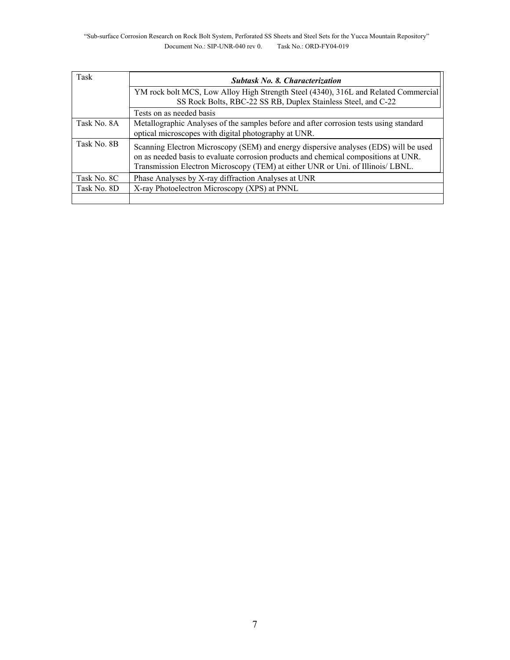| Task        | <b>Subtask No. 8. Characterization</b>                                                                                                                                                                                                                         |
|-------------|----------------------------------------------------------------------------------------------------------------------------------------------------------------------------------------------------------------------------------------------------------------|
|             | YM rock bolt MCS, Low Alloy High Strength Steel (4340), 316L and Related Commercial<br>SS Rock Bolts, RBC-22 SS RB, Duplex Stainless Steel, and C-22                                                                                                           |
|             | Tests on as needed basis                                                                                                                                                                                                                                       |
| Task No. 8A | Metallographic Analyses of the samples before and after corrosion tests using standard<br>optical microscopes with digital photography at UNR.                                                                                                                 |
| Task No. 8B | Scanning Electron Microscopy (SEM) and energy dispersive analyses (EDS) will be used<br>on as needed basis to evaluate corrosion products and chemical compositions at UNR.<br>Transmission Electron Microscopy (TEM) at either UNR or Uni. of Illinois/ LBNL. |
| Task No. 8C | Phase Analyses by X-ray diffraction Analyses at UNR                                                                                                                                                                                                            |
| Task No. 8D | X-ray Photoelectron Microscopy (XPS) at PNNL                                                                                                                                                                                                                   |
|             |                                                                                                                                                                                                                                                                |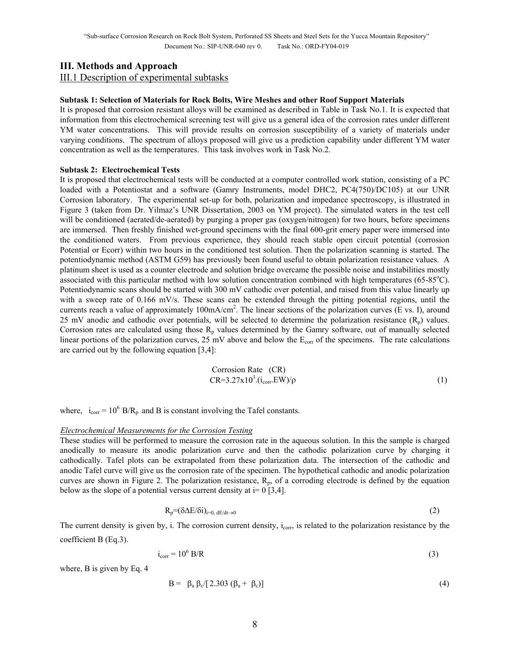# **III. Methods and Approach**

III.1 Description of experimental subtasks

### **Subtask 1: Selection of Materials for Rock Bolts, Wire Meshes and other Roof Support Materials**

It is proposed that corrosion resistant alloys will be examined as described in Table in Task No.1. It is expected that information from this electrochemical screening test will give us a general idea of the corrosion rates under different YM water concentrations. This will provide results on corrosion susceptibility of a variety of materials under varying conditions. The spectrum of alloys proposed will give us a prediction capability under different YM water concentration as well as the temperatures. This task involves work in Task No.2.

### **Subtask 2: Electrochemical Tests**

It is proposed that electrochemical tests will be conducted at a computer controlled work station, consisting of a PC loaded with a Potentiostat and a software (Gamry Instruments, model DHC2, PC4(750)/DC105) at our UNR Corrosion laboratory. The experimental set-up for both, polarization and impedance spectroscopy, is illustrated in Figure 3 (taken from Dr. Yilmaz's UNR Dissertation, 2003 on YM project). The simulated waters in the test cell will be conditioned (aerated/de-aerated) by purging a proper gas (oxygen/nitrogen) for two hours, before specimens are immersed. Then freshly finished wet-ground specimens with the final 600-grit emery paper were immersed into the conditioned waters. From previous experience, they should reach stable open circuit potential (corrosion Potential or Ecorr) within two hours in the conditioned test solution. Then the polarization scanning is started. The potentiodynamic method (ASTM G59) has previously been found useful to obtain polarization resistance values. A platinum sheet is used as a counter electrode and solution bridge overcame the possible noise and instabilities mostly associated with this particular method with low solution concentration combined with high temperatures ( $65-85^{\circ}$ C). Potentiodynamic scans should be started with 300 mV cathodic over potential, and raised from this value linearly up with a sweep rate of 0.166 mV/s. These scans can be extended through the pitting potential regions, until the currents reach a value of approximately  $100 \text{mA/cm}^2$ . The linear sections of the polarization curves (E vs. I), around 25 mV anodic and cathodic over potentials, will be selected to determine the polarization resistance  $(R_p)$  values. Corrosion rates are calculated using those  $R_p$  values determined by the Gamry software, out of manually selected linear portions of the polarization curves,  $25 \text{ mV}$  above and below the  $E_{\text{corr}}$  of the specimens. The rate calculations are carried out by the following equation [3,4]:

Corrosion Rate (CR)  
CR=3.27x10<sup>3</sup>.
$$
(i_{\text{corr}}.\text{EW})/\rho
$$
 (1)

where,  $i_{corr} = 10^6$  B/R<sub>p</sub> and B is constant involving the Tafel constants.

#### *Electrochemical Measurements for the Corrosion Testing*

These studies will be performed to measure the corrosion rate in the aqueous solution. In this the sample is charged anodically to measure its anodic polarization curve and then the cathodic polarization curve by charging it cathodically. Tafel plots can be extrapolated from these polarization data. The intersection of the cathodic and anodic Tafel curve will give us the corrosion rate of the specimen. The hypothetical cathodic and anodic polarization curves are shown in Figure 2. The polarization resistance,  $R_p$ , of a corroding electrode is defined by the equation below as the slope of a potential versus current density at  $i=0$  [3,4].

$$
R_p = (\delta \Delta E / \delta i)_{i=0, dE/dt \to 0}
$$
 (2)

The current density is given by, i. The corrosion current density,  $i_{\text{corr}}$ , is related to the polarization resistance by the coefficient B (Eq.3).

$$
i_{corr} = 10^6 \text{ B/R}
$$
 (3)

where, B is given by Eq. 4

$$
B = \beta_a \beta_c [2.303 (\beta_a + \beta_c)] \tag{4}
$$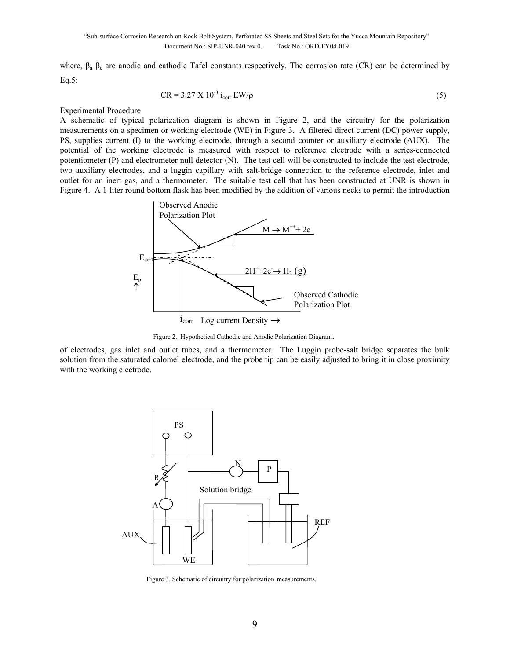where,  $\beta_a$   $\beta_c$  are anodic and cathodic Tafel constants respectively. The corrosion rate (CR) can be determined by Eq.5:

$$
CR = 3.27 \text{ X } 10^{-3} \text{ i}_{\text{corr}} \text{ EW/p} \tag{5}
$$

#### Experimental Procedure

A schematic of typical polarization diagram is shown in Figure 2, and the circuitry for the polarization measurements on a specimen or working electrode (WE) in Figure 3. A filtered direct current (DC) power supply, PS, supplies current (I) to the working electrode, through a second counter or auxiliary electrode (AUX). The potential of the working electrode is measured with respect to reference electrode with a series-connected potentiometer (P) and electrometer null detector (N). The test cell will be constructed to include the test electrode, two auxiliary electrodes, and a luggin capillary with salt-bridge connection to the reference electrode, inlet and outlet for an inert gas, and a thermometer. The suitable test cell that has been constructed at UNR is shown in Figure 4. A 1-liter round bottom flask has been modified by the addition of various necks to permit the introduction



Figure 2. Hypothetical Cathodic and Anodic Polarization Diagram.

of electrodes, gas inlet and outlet tubes, and a thermometer. The Luggin probe-salt bridge separates the bulk solution from the saturated calomel electrode, and the probe tip can be easily adjusted to bring it in close proximity with the working electrode.



Figure 3. Schematic of circuitry for polarization measurements.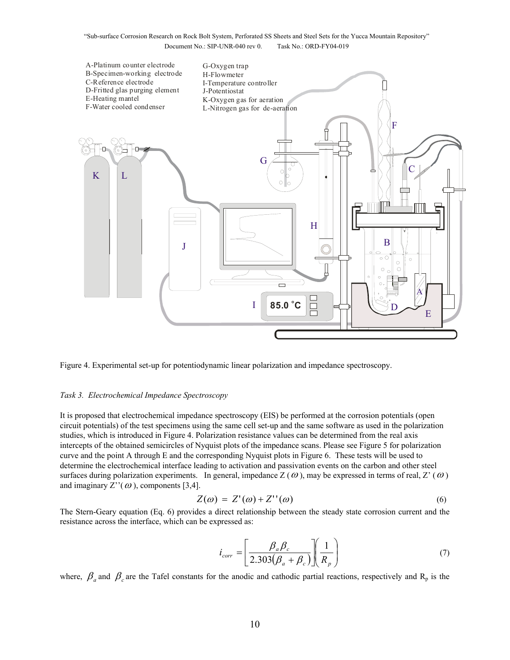

Figure 4. Experimental set-up for potentiodynamic linear polarization and impedance spectroscopy.

#### *Task 3. Electrochemical Impedance Spectroscopy*

It is proposed that electrochemical impedance spectroscopy (EIS) be performed at the corrosion potentials (open circuit potentials) of the test specimens using the same cell set-up and the same software as used in the polarization studies, which is introduced in Figure 4. Polarization resistance values can be determined from the real axis intercepts of the obtained semicircles of Nyquist plots of the impedance scans. Please see Figure 5 for polarization curve and the point A through E and the corresponding Nyquist plots in Figure 6. These tests will be used to determine the electrochemical interface leading to activation and passivation events on the carbon and other steel surfaces during polarization experiments. In general, impedance  $Z(\omega)$ , may be expressed in terms of real,  $Z'(\omega)$ and imaginary  $Z''(\omega)$ , components [3,4].

$$
Z(\omega) = Z'(\omega) + Z''(\omega) \tag{6}
$$

The Stern-Geary equation (Eq. 6) provides a direct relationship between the steady state corrosion current and the resistance across the interface, which can be expressed as:

$$
i_{corr} = \left[\frac{\beta_a \beta_c}{2.303(\beta_a + \beta_c)}\right] \left(\frac{1}{R_p}\right)
$$
(7)

where,  $\beta_a$  and  $\beta_c$  are the Tafel constants for the anodic and cathodic partial reactions, respectively and R<sub>p</sub> is the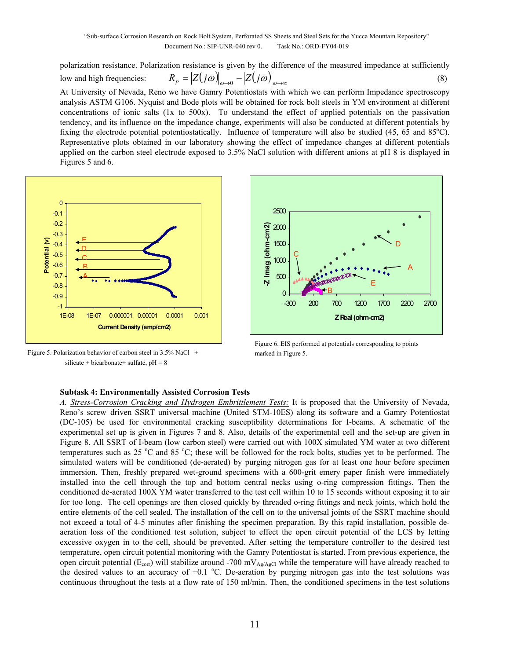polarization resistance. Polarization resistance is given by the difference of the measured impedance at sufficiently

low and high frequencies:  $R_p = |Z(j\omega)|_{\omega \to 0} - |Z(j\omega)|_{\omega \to \infty}$  (8)

At University of Nevada, Reno we have Gamry Potentiostats with which we can perform Impedance spectroscopy analysis ASTM G106. Nyquist and Bode plots will be obtained for rock bolt steels in YM environment at different concentrations of ionic salts (1x to 500x). To understand the effect of applied potentials on the passivation tendency, and its influence on the impedance change, experiments will also be conducted at different potentials by fixing the electrode potential potentiostatically. Influence of temperature will also be studied  $(45, 65 \text{ and } 85^{\circ}\text{C})$ . Representative plots obtained in our laboratory showing the effect of impedance changes at different potentials applied on the carbon steel electrode exposed to 3.5% NaCl solution with different anions at pH 8 is displayed in Figures 5 and 6.



Figure 5. Polarization behavior of carbon steel in 3.5% NaCl + silicate + bicarbonate + sulfate,  $pH = 8$ 



Figure 6. EIS performed at potentials corresponding to points marked in Figure 5.

### **Subtask 4: Environmentally Assisted Corrosion Tests**

*A. Stress-Corrosion Cracking and Hydrogen Embrittlement Tests:* It is proposed that the University of Nevada, Reno's screw–driven SSRT universal machine (United STM-10ES) along its software and a Gamry Potentiostat (DC-105) be used for environmental cracking susceptibility determinations for I-beams. A schematic of the experimental set up is given in Figures 7 and 8. Also, details of the experimental cell and the set-up are given in Figure 8. All SSRT of I-beam (low carbon steel) were carried out with 100X simulated YM water at two different temperatures such as  $25 \text{ °C}$  and  $85 \text{ °C}$ ; these will be followed for the rock bolts, studies yet to be performed. The simulated waters will be conditioned (de-aerated) by purging nitrogen gas for at least one hour before specimen immersion. Then, freshly prepared wet-ground specimens with a 600-grit emery paper finish were immediately installed into the cell through the top and bottom central necks using o-ring compression fittings. Then the conditioned de-aerated 100X YM water transferred to the test cell within 10 to 15 seconds without exposing it to air for too long. The cell openings are then closed quickly by threaded o-ring fittings and neck joints, which hold the entire elements of the cell sealed. The installation of the cell on to the universal joints of the SSRT machine should not exceed a total of 4-5 minutes after finishing the specimen preparation. By this rapid installation, possible deaeration loss of the conditioned test solution, subject to effect the open circuit potential of the LCS by letting excessive oxygen in to the cell, should be prevented. After setting the temperature controller to the desired test temperature, open circuit potential monitoring with the Gamry Potentiostat is started. From previous experience, the open circuit potential ( $E_{\text{corr}}$ ) will stabilize around -700 mV<sub>Ag/AgCl</sub> while the temperature will have already reached to the desired values to an accuracy of  $\pm 0.1$  °C. De-aeration by purging nitrogen gas into the test solutions was continuous throughout the tests at a flow rate of 150 ml/min. Then, the conditioned specimens in the test solutions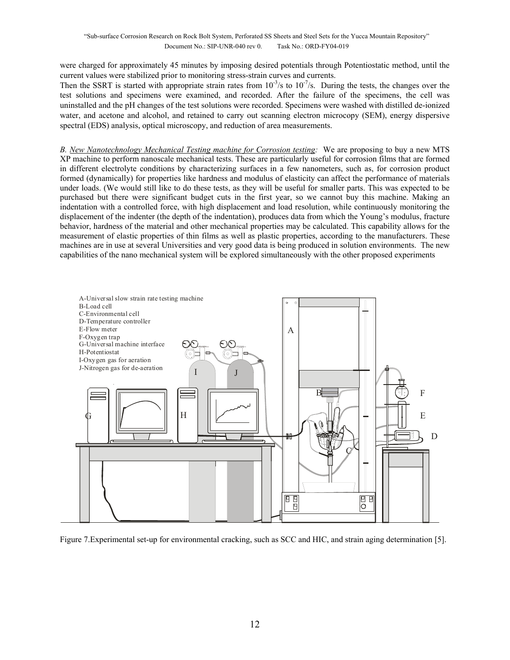were charged for approximately 45 minutes by imposing desired potentials through Potentiostatic method, until the current values were stabilized prior to monitoring stress-strain curves and currents.

Then the SSRT is started with appropriate strain rates from  $10^{-3}/s$  to  $10^{-7}/s$ . During the tests, the changes over the test solutions and specimens were examined, and recorded. After the failure of the specimens, the cell was uninstalled and the pH changes of the test solutions were recorded. Specimens were washed with distilled de-ionized water, and acetone and alcohol, and retained to carry out scanning electron microcopy (SEM), energy dispersive spectral (EDS) analysis, optical microscopy, and reduction of area measurements.

*B. New Nanotechnology Mechanical Testing machine for Corrosion testing:* We are proposing to buy a new MTS XP machine to perform nanoscale mechanical tests. These are particularly useful for corrosion films that are formed in different electrolyte conditions by characterizing surfaces in a few nanometers, such as, for corrosion product formed (dynamically) for properties like hardness and modulus of elasticity can affect the performance of materials under loads. (We would still like to do these tests, as they will be useful for smaller parts. This was expected to be purchased but there were significant budget cuts in the first year, so we cannot buy this machine. Making an indentation with a controlled force, with high displacement and load resolution, while continuously monitoring the displacement of the indenter (the depth of the indentation), produces data from which the Young's modulus, fracture behavior, hardness of the material and other mechanical properties may be calculated. This capability allows for the measurement of elastic properties of thin films as well as plastic properties, according to the manufacturers. These machines are in use at several Universities and very good data is being produced in solution environments. The new capabilities of the nano mechanical system will be explored simultaneously with the other proposed experiments



Figure 7.Experimental set-up for environmental cracking, such as SCC and HIC, and strain aging determination [5].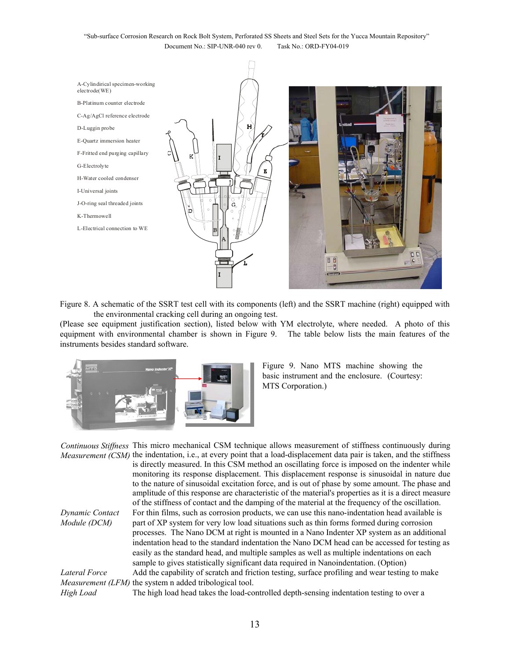

Figure 8. A schematic of the SSRT test cell with its components (left) and the SSRT machine (right) equipped with the environmental cracking cell during an ongoing test.

(Please see equipment justification section), listed below with YM electrolyte, where needed. A photo of this equipment with environmental chamber is shown in Figure 9. The table below lists the main features of the instruments besides standard software.



Figure 9. Nano MTS machine showing the basic instrument and the enclosure. (Courtesy: MTS Corporation.)

*Continuous Stiffness*  This micro mechanical CSM technique allows measurement of stiffness continuously during *Measurement (CSM)* the indentation, i.e., at every point that a load-displacement data pair is taken, and the stiffness is directly measured. In this CSM method an oscillating force is imposed on the indenter while monitoring its response displacement. This displacement response is sinusoidal in nature due to the nature of sinusoidal excitation force, and is out of phase by some amount. The phase and amplitude of this response are characteristic of the material's properties as it is a direct measure of the stiffness of contact and the damping of the material at the frequency of the oscillation. *Dynamic Contact Module (DCM)* For thin films, such as corrosion products, we can use this nano-indentation head available is part of XP system for very low load situations such as thin forms formed during corrosion processes. The Nano DCM at right is mounted in a Nano Indenter XP system as an additional indentation head to the standard indentation the Nano DCM head can be accessed for testing as easily as the standard head, and multiple samples as well as multiple indentations on each sample to gives statistically significant data required in Nanoindentation. (Option) *Lateral Force Measurement (LFM)* the system n added tribological tool. Add the capability of scratch and friction testing, surface profiling and wear testing to make

*High Load* The high load head takes the load-controlled depth-sensing indentation testing to over a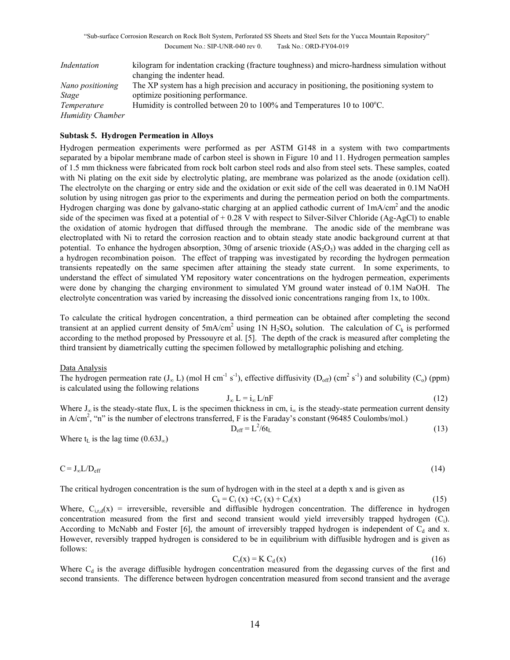| Indentation             | kilogram for indentation cracking (fracture toughness) and micro-hardness simulation without |
|-------------------------|----------------------------------------------------------------------------------------------|
|                         | changing the indenter head.                                                                  |
| Nano positioning        | The XP system has a high precision and accuracy in positioning, the positioning system to    |
| Stage                   | optimize positioning performance.                                                            |
| Temperature             | Humidity is controlled between 20 to 100% and Temperatures 10 to 100 $^{\circ}$ C.           |
| <b>Humidity Chamber</b> |                                                                                              |

### **Subtask 5. Hydrogen Permeation in Alloys**

Hydrogen permeation experiments were performed as per ASTM G148 in a system with two compartments separated by a bipolar membrane made of carbon steel is shown in Figure 10 and 11. Hydrogen permeation samples of 1.5 mm thickness were fabricated from rock bolt carbon steel rods and also from steel sets. These samples, coated with Ni plating on the exit side by electrolytic plating, are membrane was polarized as the anode (oxidation cell). The electrolyte on the charging or entry side and the oxidation or exit side of the cell was deaerated in 0.1M NaOH solution by using nitrogen gas prior to the experiments and during the permeation period on both the compartments. Hydrogen charging was done by galvano-static charging at an applied cathodic current of 1mA/cm2 and the anodic side of the specimen was fixed at a potential of + 0.28 V with respect to Silver-Silver Chloride (Ag-AgCl) to enable the oxidation of atomic hydrogen that diffused through the membrane. The anodic side of the membrane was electroplated with Ni to retard the corrosion reaction and to obtain steady state anodic background current at that potential. To enhance the hydrogen absorption, 30mg of arsenic trioxide  $(AS<sub>2</sub>O<sub>3</sub>)$  was added in the charging cell as a hydrogen recombination poison. The effect of trapping was investigated by recording the hydrogen permeation transients repeatedly on the same specimen after attaining the steady state current. In some experiments, to understand the effect of simulated YM repository water concentrations on the hydrogen permeation, experiments were done by changing the charging environment to simulated YM ground water instead of 0.1M NaOH. The electrolyte concentration was varied by increasing the dissolved ionic concentrations ranging from 1x, to 100x.

To calculate the critical hydrogen concentration, a third permeation can be obtained after completing the second transient at an applied current density of  $5mA/cm<sup>2</sup>$  using 1N H<sub>2</sub>SO<sub>4</sub> solution. The calculation of C<sub>k</sub> is performed according to the method proposed by Pressouyre et al. [5]. The depth of the crack is measured after completing the third transient by diametrically cutting the specimen followed by metallographic polishing and etching.

#### Data Analysis

The hydrogen permeation rate  $(J_\infty L)$  (mol H cm<sup>-1</sup> s<sup>-1</sup>), effective diffusivity  $(D_{off})$  (cm<sup>2</sup> s<sup>-1</sup>) and solubility (C<sub>o</sub>) (ppm) is calculated using the following relations

$$
J_{\infty} L = i_{\infty} L/nF
$$
 (12)

Where  $J_{\infty}$  is the steady-state flux, L is the specimen thickness in cm,  $i_{\infty}$  is the steady-state permeation current density in  $A/cm^2$ , "n" is the number of electrons transferred, F is the Faraday's constant (96485 Coulombs/mol.)

$$
D_{\rm eff} = L^2/6t_L
$$
 (13)

Where  $t<sub>L</sub>$  is the lag time (0.63J<sub>∞</sub>)

$$
C = J_{\infty} L / D_{eff} \tag{14}
$$

The critical hydrogen concentration is the sum of hydrogen with in the steel at a depth x and is given as

$$
C_k = C_i(x) + C_r(x) + C_d(x)
$$
\n(15)

Where,  $C_{i,r,d}(x)$  = irreversible, reversible and diffusible hydrogen concentration. The difference in hydrogen concentration measured from the first and second transient would yield irreversibly trapped hydrogen (Ci). According to McNabb and Foster [6], the amount of irreversibly trapped hydrogen is independent of  $C_d$  and x. However, reversibly trapped hydrogen is considered to be in equilibrium with diffusible hydrogen and is given as follows:

$$
C_r(x) = K C_d(x)
$$
 (16)

Where  $C_d$  is the average diffusible hydrogen concentration measured from the degassing curves of the first and second transients. The difference between hydrogen concentration measured from second transient and the average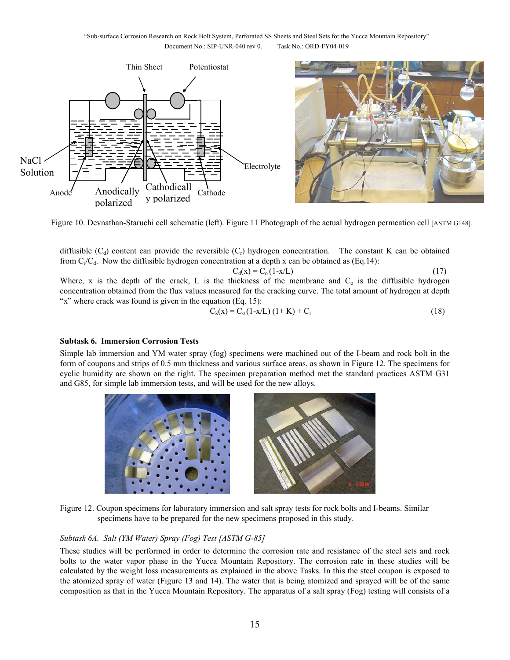

Figure 10. Devnathan-Staruchi cell schematic (left). Figure 11 Photograph of the actual hydrogen permeation cell [ASTM G148].

diffusible  $(C_d)$  content can provide the reversible  $(C_r)$  hydrogen concentration. The constant K can be obtained from  $C_r/C_d$ . Now the diffusible hydrogen concentration at a depth x can be obtained as (Eq.14):

$$
C_d(x) = C_o(1-x/L)
$$
\n(17)  
\nWhere, x is the depth of the crack, L is the thickness of the membrane and C<sub>o</sub> is the diffusible hydrogen  
\nconcentration obtained from the flux values measured for the cracking curve. The total amount of hydrogen at depth  
\n''x'' where crack was found is given in the equation (Eq. 15):

$$
C_k(x) = C_0 (1-x/L) (1+K) + C_i
$$
 (18)

### **Subtask 6. Immersion Corrosion Tests**

Simple lab immersion and YM water spray (fog) specimens were machined out of the I-beam and rock bolt in the form of coupons and strips of 0.5 mm thickness and various surface areas, as shown in Figure 12. The specimens for cyclic humidity are shown on the right. The specimen preparation method met the standard practices ASTM G31 and G85, for simple lab immersion tests, and will be used for the new alloys.



Figure 12. Coupon specimens for laboratory immersion and salt spray tests for rock bolts and I-beams. Similar specimens have to be prepared for the new specimens proposed in this study.

### *Subtask 6A. Salt (YM Water) Spray (Fog) Test [ASTM G-85]*

These studies will be performed in order to determine the corrosion rate and resistance of the steel sets and rock bolts to the water vapor phase in the Yucca Mountain Repository. The corrosion rate in these studies will be calculated by the weight loss measurements as explained in the above Tasks. In this the steel coupon is exposed to the atomized spray of water (Figure 13 and 14). The water that is being atomized and sprayed will be of the same composition as that in the Yucca Mountain Repository. The apparatus of a salt spray (Fog) testing will consists of a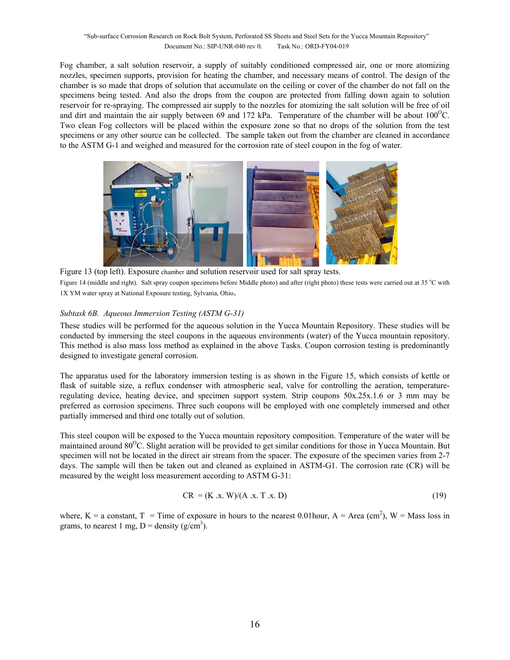Fog chamber, a salt solution reservoir, a supply of suitably conditioned compressed air, one or more atomizing nozzles, specimen supports, provision for heating the chamber, and necessary means of control. The design of the chamber is so made that drops of solution that accumulate on the ceiling or cover of the chamber do not fall on the specimens being tested. And also the drops from the coupon are protected from falling down again to solution reservoir for re-spraying. The compressed air supply to the nozzles for atomizing the salt solution will be free of oil and dirt and maintain the air supply between 69 and 172 kPa. Temperature of the chamber will be about  $100^{\circ}$ C. Two clean Fog collectors will be placed within the exposure zone so that no drops of the solution from the test specimens or any other source can be collected. The sample taken out from the chamber are cleaned in accordance to the ASTM G-1 and weighed and measured for the corrosion rate of steel coupon in the fog of water.



Figure 13 (top left). Exposure chamber and solution reservoir used for salt spray tests. Figure 14 (middle and right). Salt spray coupon specimens before Middle photo) and after (right photo) these tests were carried out at 35 °C with 1X YM water spray at National Exposure testing, Sylvania, Ohio.

### *Subtask 6B. Aqueous Immersion Testing (ASTM G-31)*

These studies will be performed for the aqueous solution in the Yucca Mountain Repository. These studies will be conducted by immersing the steel coupons in the aqueous environments (water) of the Yucca mountain repository. This method is also mass loss method as explained in the above Tasks. Coupon corrosion testing is predominantly designed to investigate general corrosion.

The apparatus used for the laboratory immersion testing is as shown in the Figure 15, which consists of kettle or flask of suitable size, a reflux condenser with atmospheric seal, valve for controlling the aeration, temperatureregulating device, heating device, and specimen support system. Strip coupons 50x.25x.1.6 or 3 mm may be preferred as corrosion specimens. Three such coupons will be employed with one completely immersed and other partially immersed and third one totally out of solution.

This steel coupon will be exposed to the Yucca mountain repository composition. Temperature of the water will be maintained around  $80^{\circ}$ C. Slight aeration will be provided to get similar conditions for those in Yucca Mountain. But specimen will not be located in the direct air stream from the spacer. The exposure of the specimen varies from 2-7 days. The sample will then be taken out and cleaned as explained in ASTM-G1. The corrosion rate (CR) will be measured by the weight loss measurement according to ASTM G-31:

$$
CR = (K \, .x. \, W)/(A \, .x. \, T \, .x. \, D) \tag{19}
$$

where,  $K = a$  constant,  $T = T$  ime of exposure in hours to the nearest 0.01 hour,  $A = Area (cm<sup>2</sup>)$ ,  $W = Mass$  loss in grams, to nearest 1 mg,  $D =$  density (g/cm<sup>3</sup>).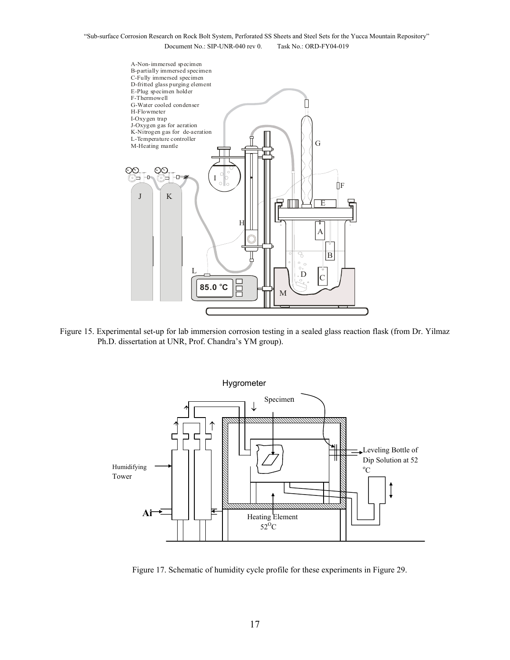

Figure 15. Experimental set-up for lab immersion corrosion testing in a sealed glass reaction flask (from Dr. Yilmaz Ph.D. dissertation at UNR, Prof. Chandra's YM group).



Figure 17. Schematic of humidity cycle profile for these experiments in Figure 29.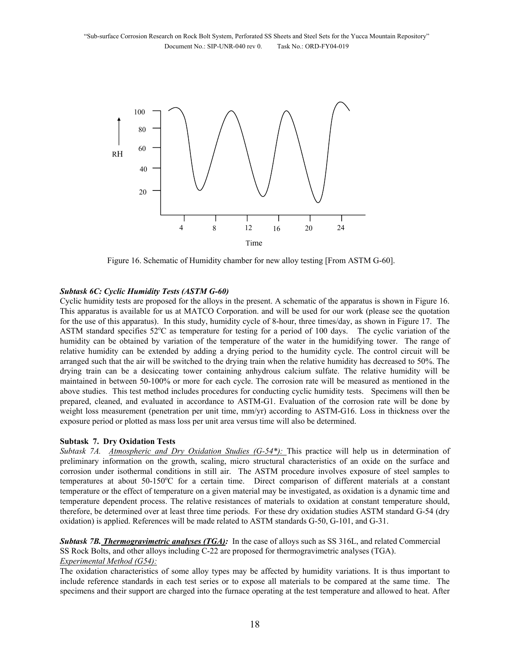

Figure 16. Schematic of Humidity chamber for new alloy testing [From ASTM G-60].

#### *Subtask 6C: Cyclic Humidity Tests (ASTM G-60)*

Cyclic humidity tests are proposed for the alloys in the present. A schematic of the apparatus is shown in Figure 16. This apparatus is available for us at MATCO Corporation. and will be used for our work (please see the quotation for the use of this apparatus). In this study, humidity cycle of 8-hour, three times/day, as shown in Figure 17. The ASTM standard specifies 52°C as temperature for testing for a period of 100 days. The cyclic variation of the humidity can be obtained by variation of the temperature of the water in the humidifying tower. The range of relative humidity can be extended by adding a drying period to the humidity cycle. The control circuit will be arranged such that the air will be switched to the drying train when the relative humidity has decreased to 50%. The drying train can be a desiccating tower containing anhydrous calcium sulfate. The relative humidity will be maintained in between 50-100% or more for each cycle. The corrosion rate will be measured as mentioned in the above studies. This test method includes procedures for conducting cyclic humidity tests. Specimens will then be prepared, cleaned, and evaluated in accordance to ASTM-G1. Evaluation of the corrosion rate will be done by weight loss measurement (penetration per unit time, mm/yr) according to ASTM-G16. Loss in thickness over the exposure period or plotted as mass loss per unit area versus time will also be determined.

#### **Subtask 7. Dry Oxidation Tests**

*Subtask 7A. Atmospheric and Dry Oxidation Studies (G-54\*):* This practice will help us in determination of preliminary information on the growth, scaling, micro structural characteristics of an oxide on the surface and corrosion under isothermal conditions in still air. The ASTM procedure involves exposure of steel samples to temperatures at about 50-150°C for a certain time. Direct comparison of different materials at a constant temperature or the effect of temperature on a given material may be investigated, as oxidation is a dynamic time and temperature dependent process. The relative resistances of materials to oxidation at constant temperature should, therefore, be determined over at least three time periods. For these dry oxidation studies ASTM standard G-54 (dry oxidation) is applied. References will be made related to ASTM standards G-50, G-101, and G-31.

*Subtask 7B. Thermogravimetric analyses (TGA):* In the case of alloys such as SS 316L, and related Commercial SS Rock Bolts, and other alloys including C-22 are proposed for thermogravimetric analyses (TGA). *Experimental Method (G54):*

The oxidation characteristics of some alloy types may be affected by humidity variations. It is thus important to include reference standards in each test series or to expose all materials to be compared at the same time. The specimens and their support are charged into the furnace operating at the test temperature and allowed to heat. After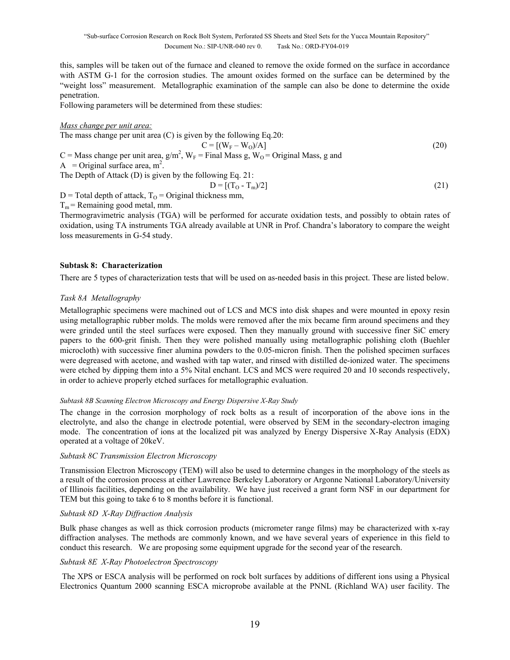this, samples will be taken out of the furnace and cleaned to remove the oxide formed on the surface in accordance with ASTM G-1 for the corrosion studies. The amount oxides formed on the surface can be determined by the "weight loss" measurement. Metallographic examination of the sample can also be done to determine the oxide penetration.

Following parameters will be determined from these studies:

#### *Mass change per unit area:*

The mass change per unit area (C) is given by the following Eq. 20:  
\n
$$
C = [(W_F - W_O)/A]
$$
\n(20)  
\nA = Original surface area,  $m^2$ ,  $W_F$  = Final Mass g,  $W_O$  = Original Mass, g and  
\nA = Original surface area,  $m^2$ .  
\nThe Depth of Attack (D) is given by the following Eq. 21:  
\n
$$
D = [(T_O - T_m)/2]
$$
\n(21)

 $D$  = Total depth of attack,  $T<sub>O</sub>$  = Original thickness mm,

 $T_m$  = Remaining good metal, mm.

Thermogravimetric analysis (TGA) will be performed for accurate oxidation tests, and possibly to obtain rates of oxidation, using TA instruments TGA already available at UNR in Prof. Chandra's laboratory to compare the weight loss measurements in G-54 study.

#### **Subtask 8: Characterization**

There are 5 types of characterization tests that will be used on as-needed basis in this project. These are listed below.

#### *Task 8A Metallography*

Metallographic specimens were machined out of LCS and MCS into disk shapes and were mounted in epoxy resin using metallographic rubber molds. The molds were removed after the mix became firm around specimens and they were grinded until the steel surfaces were exposed. Then they manually ground with successive finer SiC emery papers to the 600-grit finish. Then they were polished manually using metallographic polishing cloth (Buehler microcloth) with successive finer alumina powders to the 0.05-micron finish. Then the polished specimen surfaces were degreased with acetone, and washed with tap water, and rinsed with distilled de-ionized water. The specimens were etched by dipping them into a 5% Nital enchant. LCS and MCS were required 20 and 10 seconds respectively, in order to achieve properly etched surfaces for metallographic evaluation.

#### *Subtask 8B Scanning Electron Microscopy and Energy Dispersive X-Ray Study*

The change in the corrosion morphology of rock bolts as a result of incorporation of the above ions in the electrolyte, and also the change in electrode potential, were observed by SEM in the secondary-electron imaging mode. The concentration of ions at the localized pit was analyzed by Energy Dispersive X-Ray Analysis (EDX) operated at a voltage of 20keV.

#### *Subtask 8C Transmission Electron Microscopy*

Transmission Electron Microscopy (TEM) will also be used to determine changes in the morphology of the steels as a result of the corrosion process at either Lawrence Berkeley Laboratory or Argonne National Laboratory/University of Illinois facilities, depending on the availability. We have just received a grant form NSF in our department for TEM but this going to take 6 to 8 months before it is functional.

### *Subtask 8D X-Ray Diffraction Analysis*

Bulk phase changes as well as thick corrosion products (micrometer range films) may be characterized with x-ray diffraction analyses. The methods are commonly known, and we have several years of experience in this field to conduct this research. We are proposing some equipment upgrade for the second year of the research.

#### *Subtask 8E X-Ray Photoelectron Spectroscopy*

 The XPS or ESCA analysis will be performed on rock bolt surfaces by additions of different ions using a Physical Electronics Quantum 2000 scanning ESCA microprobe available at the PNNL (Richland WA) user facility. The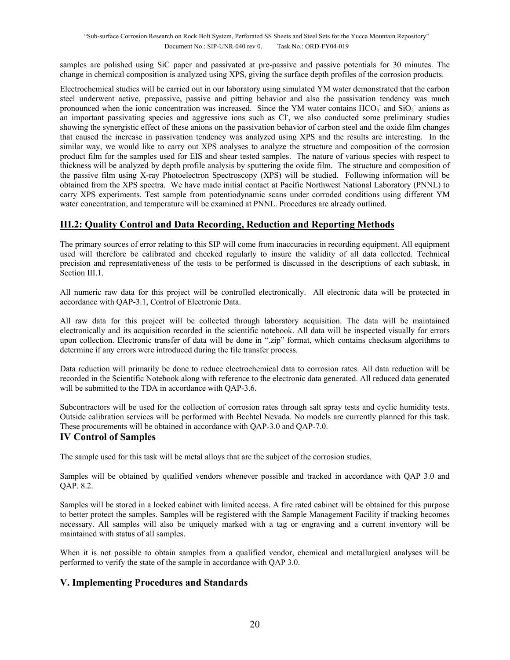samples are polished using SiC paper and passivated at pre-passive and passive potentials for 30 minutes. The change in chemical composition is analyzed using XPS, giving the surface depth profiles of the corrosion products.

Electrochemical studies will be carried out in our laboratory using simulated YM water demonstrated that the carbon steel underwent active, prepassive, passive and pitting behavior and also the passivation tendency was much pronounced when the ionic concentration was increased. Since the YM water contains  $HCO<sub>3</sub>$  and  $SiO<sub>2</sub>$  anions as an important passivating species and aggressive ions such as Cl, we also conducted some preliminary studies showing the synergistic effect of these anions on the passivation behavior of carbon steel and the oxide film changes that caused the increase in passivation tendency was analyzed using XPS and the results are interesting. In the similar way, we would like to carry out XPS analyses to analyze the structure and composition of the corrosion product film for the samples used for EIS and shear tested samples. The nature of various species with respect to thickness will be analyzed by depth profile analysis by sputtering the oxide film. The structure and composition of the passive film using X-ray Photoelectron Spectroscopy (XPS) will be studied. Following information will be obtained from the XPS spectra. We have made initial contact at Pacific Northwest National Laboratory (PNNL) to carry XPS experiments. Test sample from potentiodynamic scans under corroded conditions using different YM water concentration, and temperature will be examined at PNNL. Procedures are already outlined.

# **III.2: Quality Control and Data Recording, Reduction and Reporting Methods**

The primary sources of error relating to this SIP will come from inaccuracies in recording equipment. All equipment used will therefore be calibrated and checked regularly to insure the validity of all data collected. Technical precision and representativeness of the tests to be performed is discussed in the descriptions of each subtask, in Section III.1.

All numeric raw data for this project will be controlled electronically. All electronic data will be protected in accordance with QAP-3.1, Control of Electronic Data.

All raw data for this project will be collected through laboratory acquisition. The data will be maintained electronically and its acquisition recorded in the scientific notebook. All data will be inspected visually for errors upon collection. Electronic transfer of data will be done in ".zip" format, which contains checksum algorithms to determine if any errors were introduced during the file transfer process.

Data reduction will primarily be done to reduce electrochemical data to corrosion rates. All data reduction will be recorded in the Scientific Notebook along with reference to the electronic data generated. All reduced data generated will be submitted to the TDA in accordance with OAP-3.6.

Subcontractors will be used for the collection of corrosion rates through salt spray tests and cyclic humidity tests. Outside calibration services will be performed with Bechtel Nevada. No models are currently planned for this task. These procurements will be obtained in accordance with QAP-3.0 and QAP-7.0.

# **IV Control of Samples**

The sample used for this task will be metal alloys that are the subject of the corrosion studies.

Samples will be obtained by qualified vendors whenever possible and tracked in accordance with QAP 3.0 and QAP. 8.2.

Samples will be stored in a locked cabinet with limited access. A fire rated cabinet will be obtained for this purpose to better protect the samples. Samples will be registered with the Sample Management Facility if tracking becomes necessary. All samples will also be uniquely marked with a tag or engraving and a current inventory will be maintained with status of all samples.

When it is not possible to obtain samples from a qualified vendor, chemical and metallurgical analyses will be performed to verify the state of the sample in accordance with QAP 3.0.

# **V. Implementing Procedures and Standards**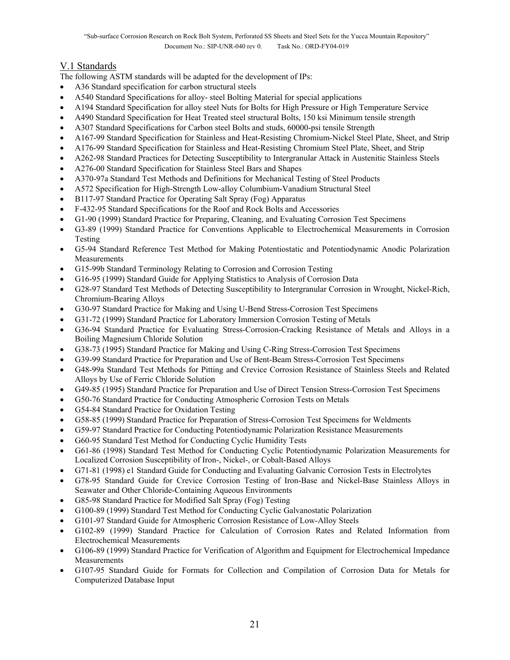# V.1 Standards

The following ASTM standards will be adapted for the development of IPs:

- A36 Standard specification for carbon structural steels
- A540 Standard Specifications for alloy- steel Bolting Material for special applications
- A194 Standard Specification for alloy steel Nuts for Bolts for High Pressure or High Temperature Service
- A490 Standard Specification for Heat Treated steel structural Bolts, 150 ksi Minimum tensile strength
- A307 Standard Specifications for Carbon steel Bolts and studs, 60000-psi tensile Strength
- A167-99 Standard Specification for Stainless and Heat-Resisting Chromium-Nickel Steel Plate, Sheet, and Strip
- A176-99 Standard Specification for Stainless and Heat-Resisting Chromium Steel Plate, Sheet, and Strip
- A262-98 Standard Practices for Detecting Susceptibility to Intergranular Attack in Austenitic Stainless Steels
- A276-00 Standard Specification for Stainless Steel Bars and Shapes
- A370-97a Standard Test Methods and Definitions for Mechanical Testing of Steel Products
- A572 Specification for High-Strength Low-alloy Columbium-Vanadium Structural Steel
- B117-97 Standard Practice for Operating Salt Spray (Fog) Apparatus
- F-432-95 Standard Specifications for the Roof and Rock Bolts and Accessories
- G1-90 (1999) Standard Practice for Preparing, Cleaning, and Evaluating Corrosion Test Specimens
- G3-89 (1999) Standard Practice for Conventions Applicable to Electrochemical Measurements in Corrosion Testing
- G5-94 Standard Reference Test Method for Making Potentiostatic and Potentiodynamic Anodic Polarization Measurements
- G15-99b Standard Terminology Relating to Corrosion and Corrosion Testing
- G16-95 (1999) Standard Guide for Applying Statistics to Analysis of Corrosion Data
- G28-97 Standard Test Methods of Detecting Susceptibility to Intergranular Corrosion in Wrought, Nickel-Rich, Chromium-Bearing Alloys
- G30-97 Standard Practice for Making and Using U-Bend Stress-Corrosion Test Specimens
- G31-72 (1999) Standard Practice for Laboratory Immersion Corrosion Testing of Metals
- G36-94 Standard Practice for Evaluating Stress-Corrosion-Cracking Resistance of Metals and Alloys in a Boiling Magnesium Chloride Solution
- G38-73 (1995) Standard Practice for Making and Using C-Ring Stress-Corrosion Test Specimens
- G39-99 Standard Practice for Preparation and Use of Bent-Beam Stress-Corrosion Test Specimens
- G48-99a Standard Test Methods for Pitting and Crevice Corrosion Resistance of Stainless Steels and Related Alloys by Use of Ferric Chloride Solution
- G49-85 (1995) Standard Practice for Preparation and Use of Direct Tension Stress-Corrosion Test Specimens
- G50-76 Standard Practice for Conducting Atmospheric Corrosion Tests on Metals
- G54-84 Standard Practice for Oxidation Testing
- G58-85 (1999) Standard Practice for Preparation of Stress-Corrosion Test Specimens for Weldments
- G59-97 Standard Practice for Conducting Potentiodynamic Polarization Resistance Measurements
- G60-95 Standard Test Method for Conducting Cyclic Humidity Tests
- G61-86 (1998) Standard Test Method for Conducting Cyclic Potentiodynamic Polarization Measurements for Localized Corrosion Susceptibility of Iron-, Nickel-, or Cobalt-Based Alloys
- G71-81 (1998) e1 Standard Guide for Conducting and Evaluating Galvanic Corrosion Tests in Electrolytes
- G78-95 Standard Guide for Crevice Corrosion Testing of Iron-Base and Nickel-Base Stainless Alloys in Seawater and Other Chloride-Containing Aqueous Environments
- G85-98 Standard Practice for Modified Salt Spray (Fog) Testing
- G100-89 (1999) Standard Test Method for Conducting Cyclic Galvanostatic Polarization
- G101-97 Standard Guide for Atmospheric Corrosion Resistance of Low-Alloy Steels
- G102-89 (1999) Standard Practice for Calculation of Corrosion Rates and Related Information from Electrochemical Measurements
- G106-89 (1999) Standard Practice for Verification of Algorithm and Equipment for Electrochemical Impedance Measurements
- G107-95 Standard Guide for Formats for Collection and Compilation of Corrosion Data for Metals for Computerized Database Input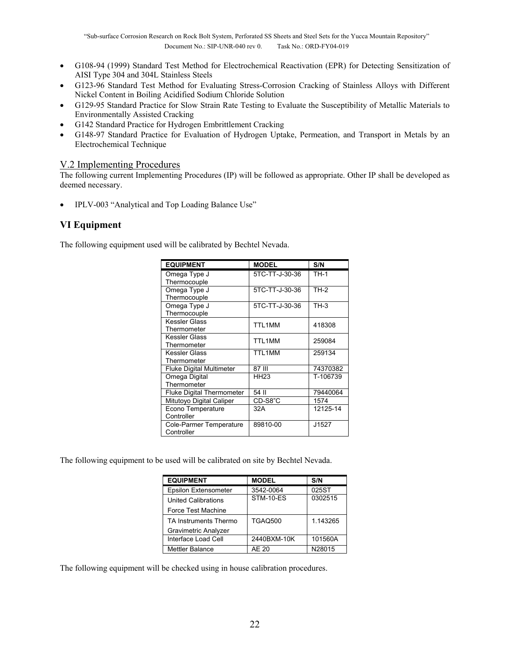- G108-94 (1999) Standard Test Method for Electrochemical Reactivation (EPR) for Detecting Sensitization of AISI Type 304 and 304L Stainless Steels
- G123-96 Standard Test Method for Evaluating Stress-Corrosion Cracking of Stainless Alloys with Different Nickel Content in Boiling Acidified Sodium Chloride Solution
- G129-95 Standard Practice for Slow Strain Rate Testing to Evaluate the Susceptibility of Metallic Materials to Environmentally Assisted Cracking
- G142 Standard Practice for Hydrogen Embrittlement Cracking
- G148-97 Standard Practice for Evaluation of Hydrogen Uptake, Permeation, and Transport in Metals by an Electrochemical Technique

### V.2 Implementing Procedures

The following current Implementing Procedures (IP) will be followed as appropriate. Other IP shall be developed as deemed necessary.

• IPLV-003 "Analytical and Top Loading Balance Use"

# **VI Equipment**

The following equipment used will be calibrated by Bechtel Nevada.

| <b>EQUIPMENT</b>                 | <b>MODEL</b>     | S/N      |
|----------------------------------|------------------|----------|
| Omega Type J                     | 5TC-TT-J-30-36   | $TH-1$   |
| Thermocouple                     |                  |          |
| Omega Type J                     | 5TC-TT-J-30-36   | TH-2     |
| Thermocouple                     |                  |          |
| Omega Type J                     | 5TC-TT-J-30-36   | TH-3     |
| Thermocouple                     |                  |          |
| Kessler Glass                    | TTL1MM           | 418308   |
| Thermometer                      |                  |          |
| Kessler Glass                    | TTL1MM           | 259084   |
| Thermometer                      |                  |          |
| Kessler Glass                    | TTL1MM           | 259134   |
| Thermometer                      |                  |          |
| <b>Fluke Digital Multimeter</b>  | 87 III           | 74370382 |
| Omega Digital                    | HH <sub>23</sub> | T-106739 |
| Thermometer                      |                  |          |
| <b>Fluke Digital Thermometer</b> | 54 II            | 79440064 |
| Mitutoyo Digital Caliper         | CD-S8"C          | 1574     |
| Econo Temperature                | 32A              | 12125-14 |
| Controller                       |                  |          |
| Cole-Parmer Temperature          | 89810-00         | J1527    |
| Controller                       |                  |          |

The following equipment to be used will be calibrated on site by Bechtel Nevada.

| <b>EQUIPMENT</b>            | <b>MODEL</b>     | S/N      |
|-----------------------------|------------------|----------|
| <b>Epsilon Extensometer</b> | 3542-0064        | 025ST    |
| <b>United Calibrations</b>  | <b>STM-10-ES</b> | 0302515  |
| Force Test Machine          |                  |          |
| TA Instruments Thermo       | <b>TGAQ500</b>   | 1.143265 |
| <b>Gravimetric Analyzer</b> |                  |          |
| Interface Load Cell         | 2440BXM-10K      | 101560A  |
| <b>Mettler Balance</b>      | AE 20            | N28015   |

The following equipment will be checked using in house calibration procedures.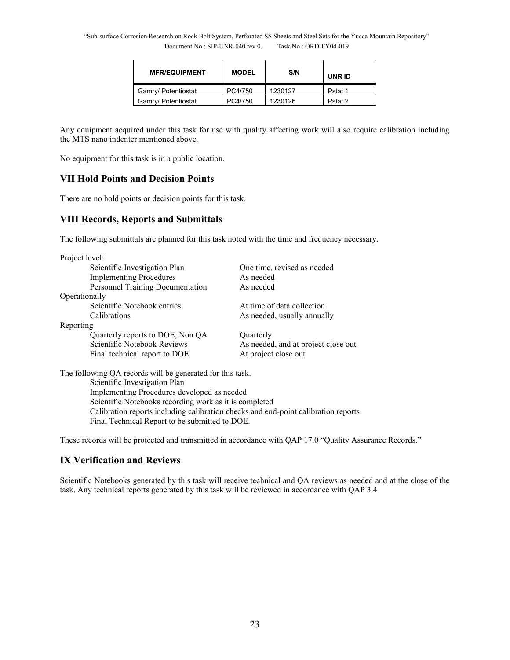| <b>MFR/EQUIPMENT</b> | <b>MODEL</b> | S/N     | UNR ID  |  |  |
|----------------------|--------------|---------|---------|--|--|
| Gamry/ Potentiostat  | PC4/750      | 1230127 | Pstat 1 |  |  |
| Gamry/ Potentiostat  | PC4/750      | 1230126 | Pstat 2 |  |  |

Any equipment acquired under this task for use with quality affecting work will also require calibration including the MTS nano indenter mentioned above.

No equipment for this task is in a public location.

# **VII Hold Points and Decision Points**

There are no hold points or decision points for this task.

# **VIII Records, Reports and Submittals**

The following submittals are planned for this task noted with the time and frequency necessary.

| Project level: |                                  |                                     |  |  |  |  |  |  |
|----------------|----------------------------------|-------------------------------------|--|--|--|--|--|--|
|                | Scientific Investigation Plan    | One time, revised as needed         |  |  |  |  |  |  |
|                | <b>Implementing Procedures</b>   | As needed                           |  |  |  |  |  |  |
|                | Personnel Training Documentation | As needed                           |  |  |  |  |  |  |
| Operationally  |                                  |                                     |  |  |  |  |  |  |
|                | Scientific Notebook entries      | At time of data collection          |  |  |  |  |  |  |
|                | Calibrations                     | As needed, usually annually         |  |  |  |  |  |  |
| Reporting      |                                  |                                     |  |  |  |  |  |  |
|                | Quarterly reports to DOE, Non QA | Quarterly                           |  |  |  |  |  |  |
|                | Scientific Notebook Reviews      | As needed, and at project close out |  |  |  |  |  |  |
|                | Final technical report to DOE    | At project close out                |  |  |  |  |  |  |
|                |                                  |                                     |  |  |  |  |  |  |

The following QA records will be generated for this task.

 Scientific Investigation Plan Implementing Procedures developed as needed Scientific Notebooks recording work as it is completed Calibration reports including calibration checks and end-point calibration reports Final Technical Report to be submitted to DOE.

These records will be protected and transmitted in accordance with QAP 17.0 "Quality Assurance Records."

# **IX Verification and Reviews**

Scientific Notebooks generated by this task will receive technical and QA reviews as needed and at the close of the task. Any technical reports generated by this task will be reviewed in accordance with QAP 3.4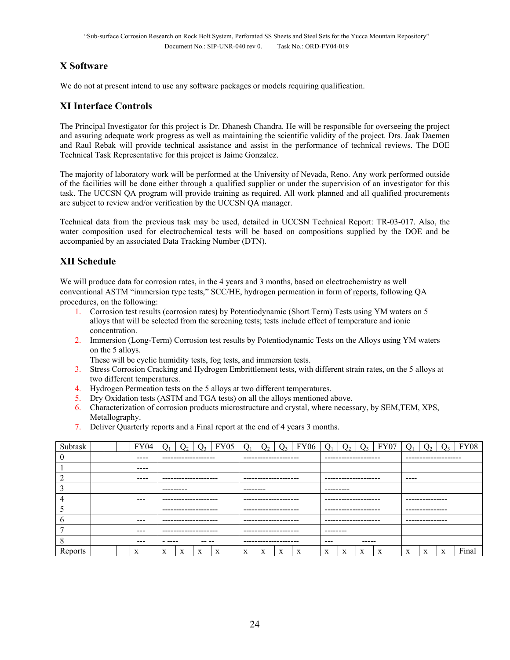# **X Software**

We do not at present intend to use any software packages or models requiring qualification.

# **XI Interface Controls**

The Principal Investigator for this project is Dr. Dhanesh Chandra. He will be responsible for overseeing the project and assuring adequate work progress as well as maintaining the scientific validity of the project. Drs. Jaak Daemen and Raul Rebak will provide technical assistance and assist in the performance of technical reviews. The DOE Technical Task Representative for this project is Jaime Gonzalez.

The majority of laboratory work will be performed at the University of Nevada, Reno. Any work performed outside of the facilities will be done either through a qualified supplier or under the supervision of an investigator for this task. The UCCSN QA program will provide training as required. All work planned and all qualified procurements are subject to review and/or verification by the UCCSN QA manager.

Technical data from the previous task may be used, detailed in UCCSN Technical Report: TR-03-017. Also, the water composition used for electrochemical tests will be based on compositions supplied by the DOE and be accompanied by an associated Data Tracking Number (DTN).

# **XII Schedule**

We will produce data for corrosion rates, in the 4 years and 3 months, based on electrochemistry as well conventional ASTM "immersion type tests," SCC/HE, hydrogen permeation in form of reports, following QA procedures, on the following:

- 1. Corrosion test results (corrosion rates) by Potentiodynamic (Short Term) Tests using YM waters on 5 alloys that will be selected from the screening tests; tests include effect of temperature and ionic concentration.
- 2. Immersion (Long-Term) Corrosion test results by Potentiodynamic Tests on the Alloys using YM waters on the 5 alloys.
	- These will be cyclic humidity tests, fog tests, and immersion tests.
- 3. Stress Corrosion Cracking and Hydrogen Embrittlement tests, with different strain rates, on the 5 alloys at two different temperatures.
- 4. Hydrogen Permeation tests on the 5 alloys at two different temperatures.
- 5. Dry Oxidation tests (ASTM and TGA tests) on all the alloys mentioned above.
- 6. Characterization of corrosion products microstructure and crystal, where necessary, by SEM,TEM, XPS, Metallography.
- 7. Deliver Quarterly reports and a Final report at the end of 4 years 3 months.

| Subtask     |                                  |          |  | <b>FY04</b> |                      |                       |          | <b>FY05</b> |                        |                       | $\Omega$ | <b>FY06</b>          |                      |   | λ, | FY07            | า                    |   |   | FY08  |
|-------------|----------------------------------|----------|--|-------------|----------------------|-----------------------|----------|-------------|------------------------|-----------------------|----------|----------------------|----------------------|---|----|-----------------|----------------------|---|---|-------|
|             |                                  |          |  | ----        | -------------------  |                       |          |             |                        | --------------------- |          |                      | -------------------- |   |    |                 | -------------------- |   |   |       |
|             |                                  | $\cdots$ |  |             |                      |                       |          |             |                        |                       |          |                      |                      |   |    |                 |                      |   |   |       |
|             |                                  |          |  | $- - - -$   | -------------------- |                       |          |             | --------------------   |                       |          |                      | -------------------- |   |    |                 | ----                 |   |   |       |
|             | ---------                        |          |  |             |                      |                       | -------- |             |                        | ---------             |          |                      |                      |   |    |                 |                      |   |   |       |
|             | $- - -$<br>--------------------  |          |  |             |                      | --------------------- |          |             | --------------------   |                       |          |                      | ---------------      |   |    |                 |                      |   |   |       |
|             |                                  |          |  |             | -------------------- |                       |          |             | --------------------   |                       |          | -------------------- |                      |   |    | --------------- |                      |   |   |       |
| $\mathbf b$ | $- - -$<br>--------------------- |          |  |             |                      | --------------------- |          |             | ---------------------  |                       |          |                      | ---------------      |   |    |                 |                      |   |   |       |
|             | $- - -$<br>--------------------- |          |  |             |                      | --------------------- |          |             | --------               |                       |          |                      |                      |   |    |                 |                      |   |   |       |
| $\circ$     | $- - -$<br>-- --<br>- ----       |          |  |             |                      | --------------------- |          |             | $- - -$<br>$- - - - -$ |                       |          |                      |                      |   |    |                 |                      |   |   |       |
| Reports     |                                  |          |  | X           | X                    | X                     | X        | X           | X                      | X                     | X        | X                    | X                    | X | X  | X               | $\mathbf x$          | X | X | Final |